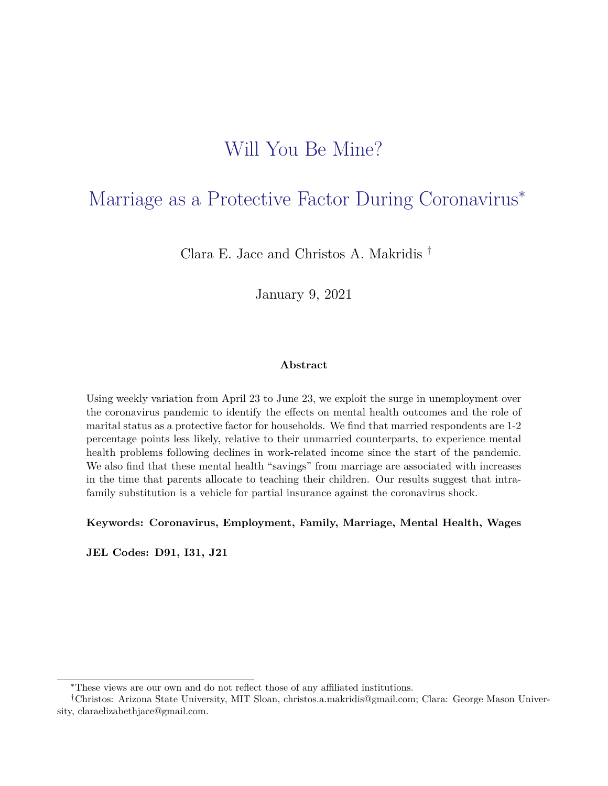# Will You Be Mine?

# Marriage as a Protective Factor During Coronavirus<sup>∗</sup>

Clara E. Jace and Christos A. Makridis †

January 9, 2021

### **Abstract**

Using weekly variation from April 23 to June 23, we exploit the surge in unemployment over the coronavirus pandemic to identify the effects on mental health outcomes and the role of marital status as a protective factor for households. We find that married respondents are 1-2 percentage points less likely, relative to their unmarried counterparts, to experience mental health problems following declines in work-related income since the start of the pandemic. We also find that these mental health "savings" from marriage are associated with increases in the time that parents allocate to teaching their children. Our results suggest that intrafamily substitution is a vehicle for partial insurance against the coronavirus shock.

**Keywords: Coronavirus, Employment, Family, Marriage, Mental Health, Wages**

**JEL Codes: D91, I31, J21**

<sup>∗</sup>These views are our own and do not reflect those of any affiliated institutions.

<sup>†</sup>Christos: Arizona State University, MIT Sloan, christos.a.makridis@gmail.com; Clara: George Mason University, claraelizabethjace@gmail.com.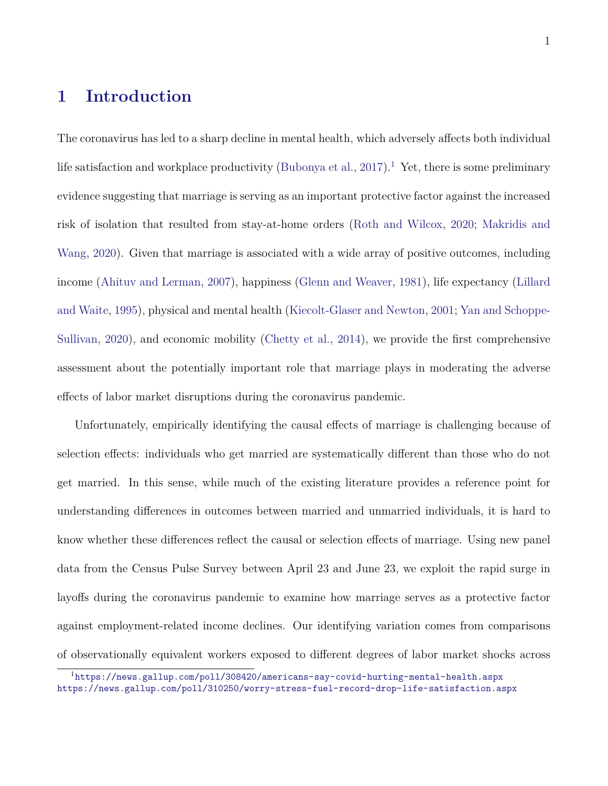# **1 Introduction**

The coronavirus has led to a sharp decline in mental health, which adversely affects both individual life satisfaction and workplace productivity [\(Bubonya et al.,](#page-29-0) [2017\)](#page-29-0).<sup>[1](#page-1-0)</sup> Yet, there is some preliminary evidence suggesting that marriage is serving as an important protective factor against the increased risk of isolation that resulted from stay-at-home orders [\(Roth and Wilcox,](#page-33-0) [2020;](#page-33-0) [Makridis and](#page-32-0) [Wang,](#page-32-0) [2020\)](#page-32-0). Given that marriage is associated with a wide array of positive outcomes, including income [\(Ahituv and Lerman,](#page-29-1) [2007\)](#page-29-1), happiness [\(Glenn and Weaver,](#page-31-0) [1981\)](#page-31-0), life expectancy [\(Lillard](#page-32-1) [and Waite,](#page-32-1) [1995\)](#page-32-1), physical and mental health [\(Kiecolt-Glaser and Newton,](#page-32-2) [2001;](#page-32-2) [Yan and Schoppe-](#page-33-1)[Sullivan,](#page-33-1) [2020\)](#page-33-1), and economic mobility [\(Chetty et al.,](#page-30-0) [2014\)](#page-30-0), we provide the first comprehensive assessment about the potentially important role that marriage plays in moderating the adverse effects of labor market disruptions during the coronavirus pandemic.

Unfortunately, empirically identifying the causal effects of marriage is challenging because of selection effects: individuals who get married are systematically different than those who do not get married. In this sense, while much of the existing literature provides a reference point for understanding differences in outcomes between married and unmarried individuals, it is hard to know whether these differences reflect the causal or selection effects of marriage. Using new panel data from the Census Pulse Survey between April 23 and June 23, we exploit the rapid surge in layoffs during the coronavirus pandemic to examine how marriage serves as a protective factor against employment-related income declines. Our identifying variation comes from comparisons of observationally equivalent workers exposed to different degrees of labor market shocks across

<span id="page-1-0"></span><sup>1</sup><https://news.gallup.com/poll/308420/americans-say-covid-hurting-mental-health.aspx> <https://news.gallup.com/poll/310250/worry-stress-fuel-record-drop-life-satisfaction.aspx>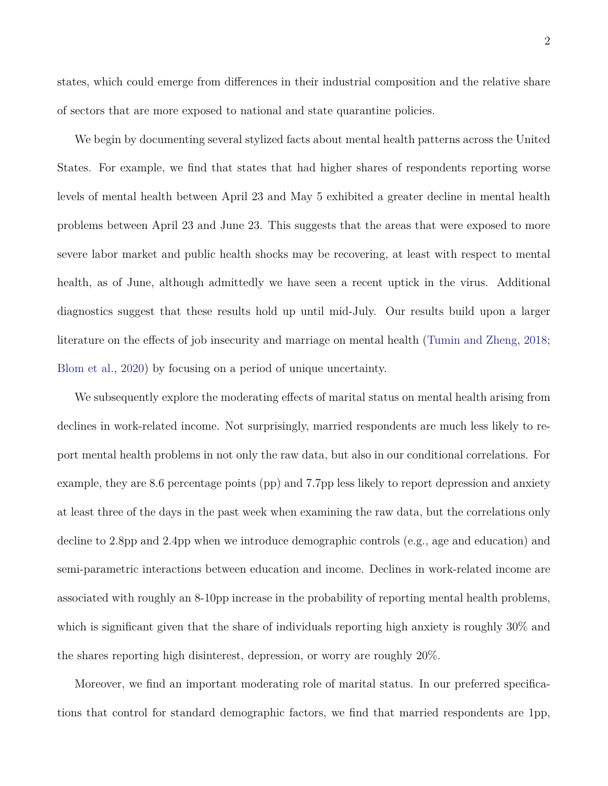states, which could emerge from differences in their industrial composition and the relative share of sectors that are more exposed to national and state quarantine policies.

We begin by documenting several stylized facts about mental health patterns across the United States. For example, we find that states that had higher shares of respondents reporting worse levels of mental health between April 23 and May 5 exhibited a greater decline in mental health problems between April 23 and June 23. This suggests that the areas that were exposed to more severe labor market and public health shocks may be recovering, at least with respect to mental health, as of June, although admittedly we have seen a recent uptick in the virus. Additional diagnostics suggest that these results hold up until mid-July. Our results build upon a larger literature on the effects of job insecurity and marriage on mental health [\(Tumin and Zheng,](#page-33-2) [2018;](#page-33-2) [Blom et al.,](#page-29-2) [2020\)](#page-29-2) by focusing on a period of unique uncertainty.

We subsequently explore the moderating effects of marital status on mental health arising from declines in work-related income. Not surprisingly, married respondents are much less likely to report mental health problems in not only the raw data, but also in our conditional correlations. For example, they are 8.6 percentage points (pp) and 7.7pp less likely to report depression and anxiety at least three of the days in the past week when examining the raw data, but the correlations only decline to 2.8pp and 2.4pp when we introduce demographic controls (e.g., age and education) and semi-parametric interactions between education and income. Declines in work-related income are associated with roughly an 8-10pp increase in the probability of reporting mental health problems, which is significant given that the share of individuals reporting high anxiety is roughly  $30\%$  and the shares reporting high disinterest, depression, or worry are roughly 20%.

Moreover, we find an important moderating role of marital status. In our preferred specifications that control for standard demographic factors, we find that married respondents are 1pp,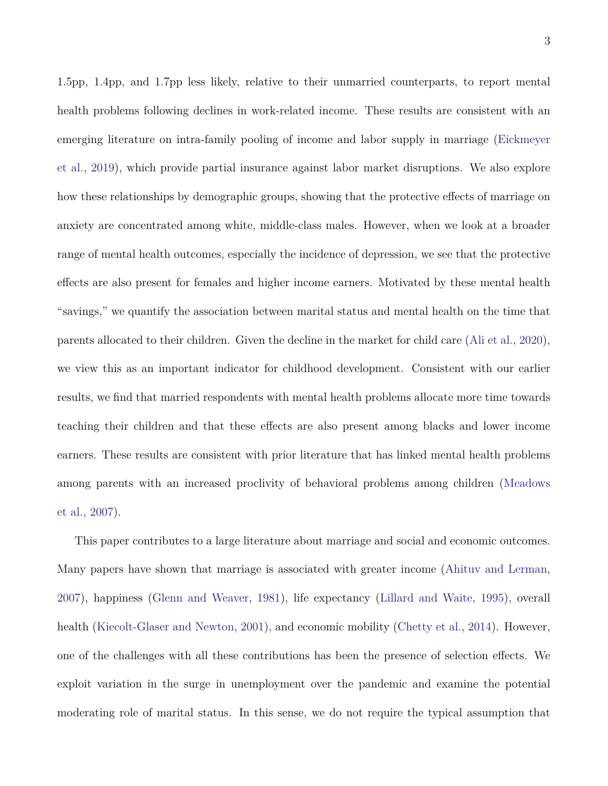1.5pp, 1.4pp, and 1.7pp less likely, relative to their unmarried counterparts, to report mental health problems following declines in work-related income. These results are consistent with an emerging literature on intra-family pooling of income and labor supply in marriage [\(Eickmeyer](#page-31-1) [et al.,](#page-31-1) [2019\)](#page-31-1), which provide partial insurance against labor market disruptions. We also explore how these relationships by demographic groups, showing that the protective effects of marriage on anxiety are concentrated among white, middle-class males. However, when we look at a broader range of mental health outcomes, especially the incidence of depression, we see that the protective effects are also present for females and higher income earners. Motivated by these mental health "savings," we quantify the association between marital status and mental health on the time that parents allocated to their children. Given the decline in the market for child care [\(Ali et al.,](#page-29-3) [2020\)](#page-29-3), we view this as an important indicator for childhood development. Consistent with our earlier results, we find that married respondents with mental health problems allocate more time towards teaching their children and that these effects are also present among blacks and lower income earners. These results are consistent with prior literature that has linked mental health problems among parents with an increased proclivity of behavioral problems among children [\(Meadows](#page-32-3) [et al.,](#page-32-3) [2007\)](#page-32-3).

This paper contributes to a large literature about marriage and social and economic outcomes. Many papers have shown that marriage is associated with greater income [\(Ahituv and Lerman,](#page-29-1) [2007\)](#page-29-1), happiness [\(Glenn and Weaver,](#page-31-0) [1981\)](#page-31-0), life expectancy [\(Lillard and Waite,](#page-32-1) [1995\)](#page-32-1), overall health [\(Kiecolt-Glaser and Newton,](#page-32-2) [2001\)](#page-32-2), and economic mobility [\(Chetty et al.,](#page-30-0) [2014\)](#page-30-0). However, one of the challenges with all these contributions has been the presence of selection effects. We exploit variation in the surge in unemployment over the pandemic and examine the potential moderating role of marital status. In this sense, we do not require the typical assumption that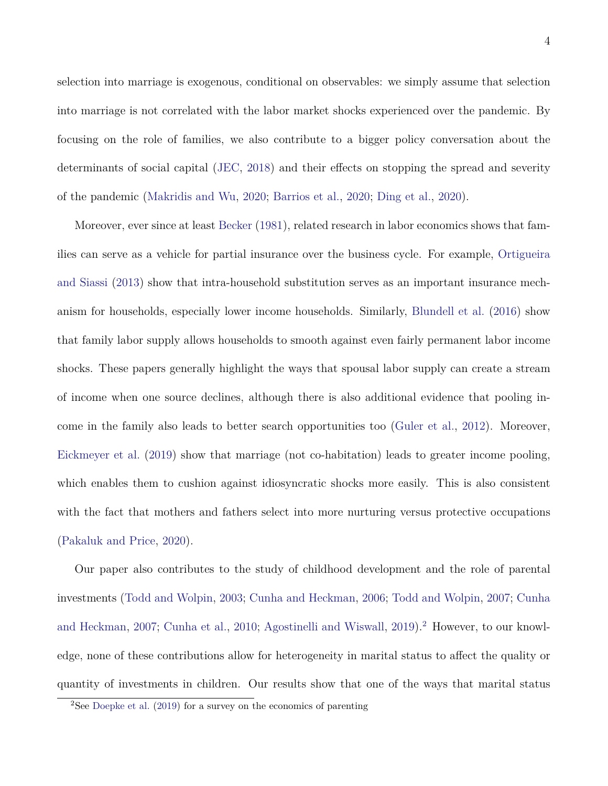selection into marriage is exogenous, conditional on observables: we simply assume that selection into marriage is not correlated with the labor market shocks experienced over the pandemic. By focusing on the role of families, we also contribute to a bigger policy conversation about the determinants of social capital [\(JEC,](#page-31-2) [2018\)](#page-31-2) and their effects on stopping the spread and severity of the pandemic [\(Makridis and Wu,](#page-32-4) [2020;](#page-32-4) [Barrios et al.,](#page-29-4) [2020;](#page-29-4) [Ding et al.,](#page-31-3) [2020\)](#page-31-3).

Moreover, ever since at least [Becker](#page-29-5) [\(1981\)](#page-29-5), related research in labor economics shows that families can serve as a vehicle for partial insurance over the business cycle. For example, [Ortigueira](#page-32-5) [and Siassi](#page-32-5) [\(2013\)](#page-32-5) show that intra-household substitution serves as an important insurance mechanism for households, especially lower income households. Similarly, [Blundell et al.](#page-29-6) [\(2016\)](#page-29-6) show that family labor supply allows households to smooth against even fairly permanent labor income shocks. These papers generally highlight the ways that spousal labor supply can create a stream of income when one source declines, although there is also additional evidence that pooling income in the family also leads to better search opportunities too [\(Guler et al.,](#page-31-4) [2012\)](#page-31-4). Moreover, [Eickmeyer et al.](#page-31-1) [\(2019\)](#page-31-1) show that marriage (not co-habitation) leads to greater income pooling, which enables them to cushion against idiosyncratic shocks more easily. This is also consistent with the fact that mothers and fathers select into more nurturing versus protective occupations [\(Pakaluk and Price,](#page-33-3) [2020\)](#page-33-3).

Our paper also contributes to the study of childhood development and the role of parental investments [\(Todd and Wolpin,](#page-33-4) [2003;](#page-33-4) [Cunha and Heckman,](#page-30-1) [2006;](#page-30-1) [Todd and Wolpin,](#page-33-5) [2007;](#page-33-5) [Cunha](#page-30-2) [and Heckman,](#page-30-2) [2007;](#page-30-2) [Cunha et al.,](#page-31-5) [2010;](#page-31-5) [Agostinelli and Wiswall,](#page-29-7) [2019\)](#page-29-7).<sup>[2](#page-4-0)</sup> However, to our knowledge, none of these contributions allow for heterogeneity in marital status to affect the quality or quantity of investments in children. Our results show that one of the ways that marital status

<span id="page-4-0"></span><sup>2</sup>See [Doepke et al.](#page-31-6) [\(2019\)](#page-31-6) for a survey on the economics of parenting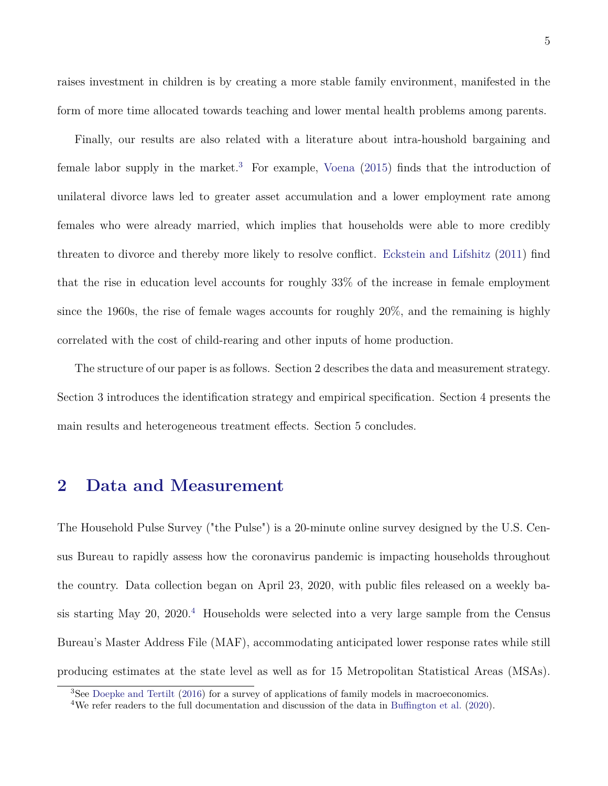raises investment in children is by creating a more stable family environment, manifested in the form of more time allocated towards teaching and lower mental health problems among parents.

Finally, our results are also related with a literature about intra-houshold bargaining and female labor supply in the market.<sup>[3](#page-5-0)</sup> For example, [Voena](#page-33-6)  $(2015)$  finds that the introduction of unilateral divorce laws led to greater asset accumulation and a lower employment rate among females who were already married, which implies that households were able to more credibly threaten to divorce and thereby more likely to resolve conflict. [Eckstein and Lifshitz](#page-31-7) [\(2011\)](#page-31-7) find that the rise in education level accounts for roughly 33% of the increase in female employment since the 1960s, the rise of female wages accounts for roughly 20%, and the remaining is highly correlated with the cost of child-rearing and other inputs of home production.

The structure of our paper is as follows. Section 2 describes the data and measurement strategy. Section 3 introduces the identification strategy and empirical specification. Section 4 presents the main results and heterogeneous treatment effects. Section 5 concludes.

### **2 Data and Measurement**

The Household Pulse Survey ("the Pulse") is a 20-minute online survey designed by the U.S. Census Bureau to rapidly assess how the coronavirus pandemic is impacting households throughout the country. Data collection began on April 23, 2020, with public files released on a weekly ba-sis starting May 20, 2020.<sup>[4](#page-5-1)</sup> Households were selected into a very large sample from the Census Bureau's Master Address File (MAF), accommodating anticipated lower response rates while still producing estimates at the state level as well as for 15 Metropolitan Statistical Areas (MSAs).

<span id="page-5-0"></span><sup>&</sup>lt;sup>3</sup>See [Doepke and Tertilt](#page-31-8) [\(2016\)](#page-31-8) for a survey of applications of family models in macroeconomics.

<span id="page-5-1"></span><sup>4</sup>We refer readers to the full documentation and discussion of the data in [Buffington et al.](#page-30-3) [\(2020\)](#page-30-3).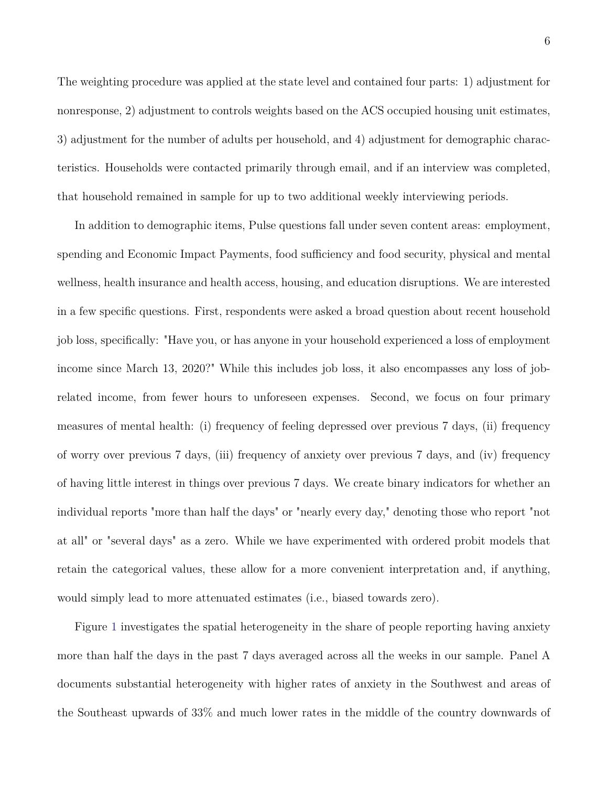The weighting procedure was applied at the state level and contained four parts: 1) adjustment for nonresponse, 2) adjustment to controls weights based on the ACS occupied housing unit estimates, 3) adjustment for the number of adults per household, and 4) adjustment for demographic characteristics. Households were contacted primarily through email, and if an interview was completed, that household remained in sample for up to two additional weekly interviewing periods.

In addition to demographic items, Pulse questions fall under seven content areas: employment, spending and Economic Impact Payments, food sufficiency and food security, physical and mental wellness, health insurance and health access, housing, and education disruptions. We are interested in a few specific questions. First, respondents were asked a broad question about recent household job loss, specifically: "Have you, or has anyone in your household experienced a loss of employment income since March 13, 2020?" While this includes job loss, it also encompasses any loss of jobrelated income, from fewer hours to unforeseen expenses. Second, we focus on four primary measures of mental health: (i) frequency of feeling depressed over previous 7 days, (ii) frequency of worry over previous 7 days, (iii) frequency of anxiety over previous 7 days, and (iv) frequency of having little interest in things over previous 7 days. We create binary indicators for whether an individual reports "more than half the days" or "nearly every day," denoting those who report "not at all" or "several days" as a zero. While we have experimented with ordered probit models that retain the categorical values, these allow for a more convenient interpretation and, if anything, would simply lead to more attenuated estimates (i.e., biased towards zero).

Figure [1](#page-21-0) investigates the spatial heterogeneity in the share of people reporting having anxiety more than half the days in the past 7 days averaged across all the weeks in our sample. Panel A documents substantial heterogeneity with higher rates of anxiety in the Southwest and areas of the Southeast upwards of 33% and much lower rates in the middle of the country downwards of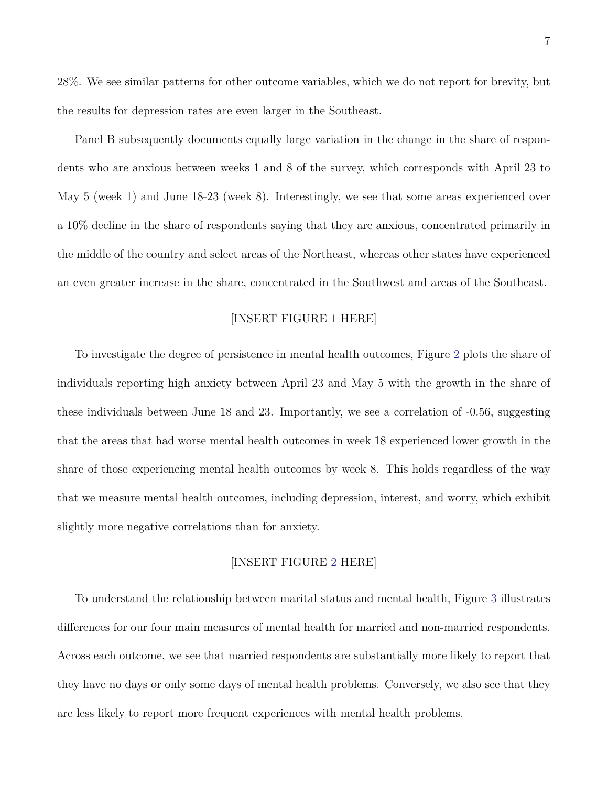28%. We see similar patterns for other outcome variables, which we do not report for brevity, but the results for depression rates are even larger in the Southeast.

Panel B subsequently documents equally large variation in the change in the share of respondents who are anxious between weeks 1 and 8 of the survey, which corresponds with April 23 to May 5 (week 1) and June 18-23 (week 8). Interestingly, we see that some areas experienced over a 10% decline in the share of respondents saying that they are anxious, concentrated primarily in the middle of the country and select areas of the Northeast, whereas other states have experienced an even greater increase in the share, concentrated in the Southwest and areas of the Southeast.

### [INSERT FIGURE [1](#page-21-0) HERE]

To investigate the degree of persistence in mental health outcomes, Figure [2](#page-22-0) plots the share of individuals reporting high anxiety between April 23 and May 5 with the growth in the share of these individuals between June 18 and 23. Importantly, we see a correlation of -0.56, suggesting that the areas that had worse mental health outcomes in week 18 experienced lower growth in the share of those experiencing mental health outcomes by week 8. This holds regardless of the way that we measure mental health outcomes, including depression, interest, and worry, which exhibit slightly more negative correlations than for anxiety.

### [INSERT FIGURE [2](#page-22-0) HERE]

To understand the relationship between marital status and mental health, Figure [3](#page-23-0) illustrates differences for our four main measures of mental health for married and non-married respondents. Across each outcome, we see that married respondents are substantially more likely to report that they have no days or only some days of mental health problems. Conversely, we also see that they are less likely to report more frequent experiences with mental health problems.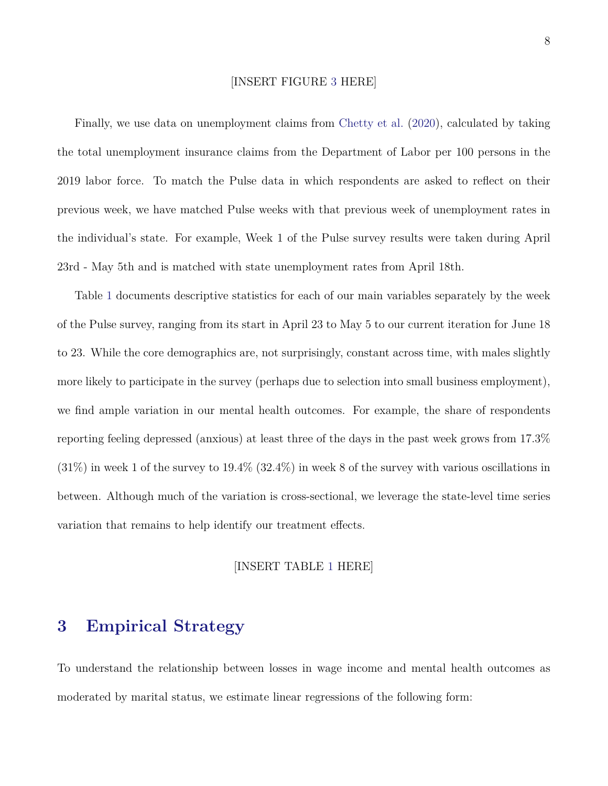### [INSERT FIGURE [3](#page-23-0) HERE]

Finally, we use data on unemployment claims from [Chetty et al.](#page-30-4) [\(2020\)](#page-30-4), calculated by taking the total unemployment insurance claims from the Department of Labor per 100 persons in the 2019 labor force. To match the Pulse data in which respondents are asked to reflect on their previous week, we have matched Pulse weeks with that previous week of unemployment rates in the individual's state. For example, Week 1 of the Pulse survey results were taken during April 23rd - May 5th and is matched with state unemployment rates from April 18th.

Table [1](#page-19-0) documents descriptive statistics for each of our main variables separately by the week of the Pulse survey, ranging from its start in April 23 to May 5 to our current iteration for June 18 to 23. While the core demographics are, not surprisingly, constant across time, with males slightly more likely to participate in the survey (perhaps due to selection into small business employment), we find ample variation in our mental health outcomes. For example, the share of respondents reporting feeling depressed (anxious) at least three of the days in the past week grows from 17.3%  $(31\%)$  in week 1 of the survey to  $19.4\%$   $(32.4\%)$  in week 8 of the survey with various oscillations in between. Although much of the variation is cross-sectional, we leverage the state-level time series variation that remains to help identify our treatment effects.

#### [INSERT TABLE [1](#page-19-0) HERE]

### **3 Empirical Strategy**

To understand the relationship between losses in wage income and mental health outcomes as moderated by marital status, we estimate linear regressions of the following form: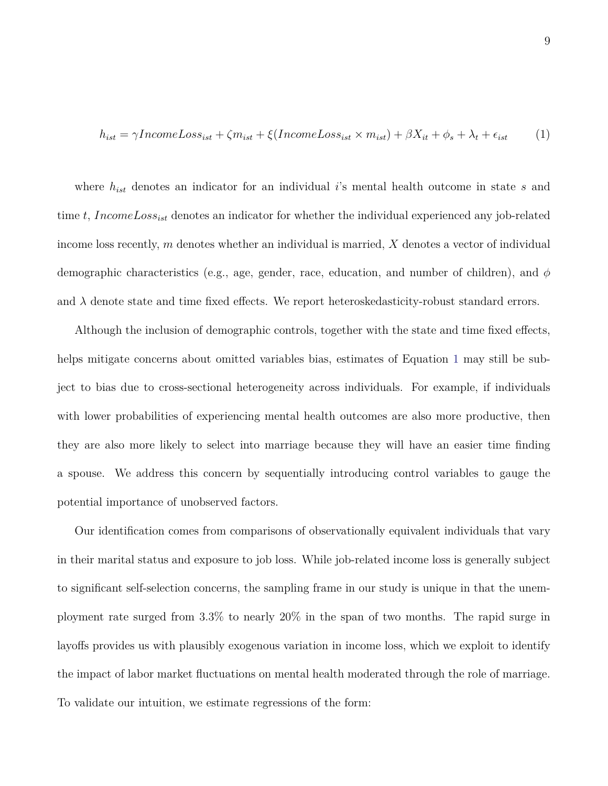<span id="page-9-0"></span>
$$
h_{ist} = \gamma IncomeLoss_{ist} + \zeta m_{ist} + \xi (IncomeLoss_{ist} \times m_{ist}) + \beta X_{it} + \phi_s + \lambda_t + \epsilon_{ist} \tag{1}
$$

where *hist* denotes an indicator for an individual *i*'s mental health outcome in state *s* and time *t*, *IncomeLossist* denotes an indicator for whether the individual experienced any job-related income loss recently, *m* denotes whether an individual is married, *X* denotes a vector of individual demographic characteristics (e.g., age, gender, race, education, and number of children), and *φ* and  $\lambda$  denote state and time fixed effects. We report heteroskedasticity-robust standard errors.

Although the inclusion of demographic controls, together with the state and time fixed effects, helps mitigate concerns about omitted variables bias, estimates of Equation [1](#page-9-0) may still be subject to bias due to cross-sectional heterogeneity across individuals. For example, if individuals with lower probabilities of experiencing mental health outcomes are also more productive, then they are also more likely to select into marriage because they will have an easier time finding a spouse. We address this concern by sequentially introducing control variables to gauge the potential importance of unobserved factors.

Our identification comes from comparisons of observationally equivalent individuals that vary in their marital status and exposure to job loss. While job-related income loss is generally subject to significant self-selection concerns, the sampling frame in our study is unique in that the unemployment rate surged from 3.3% to nearly 20% in the span of two months. The rapid surge in layoffs provides us with plausibly exogenous variation in income loss, which we exploit to identify the impact of labor market fluctuations on mental health moderated through the role of marriage. To validate our intuition, we estimate regressions of the form: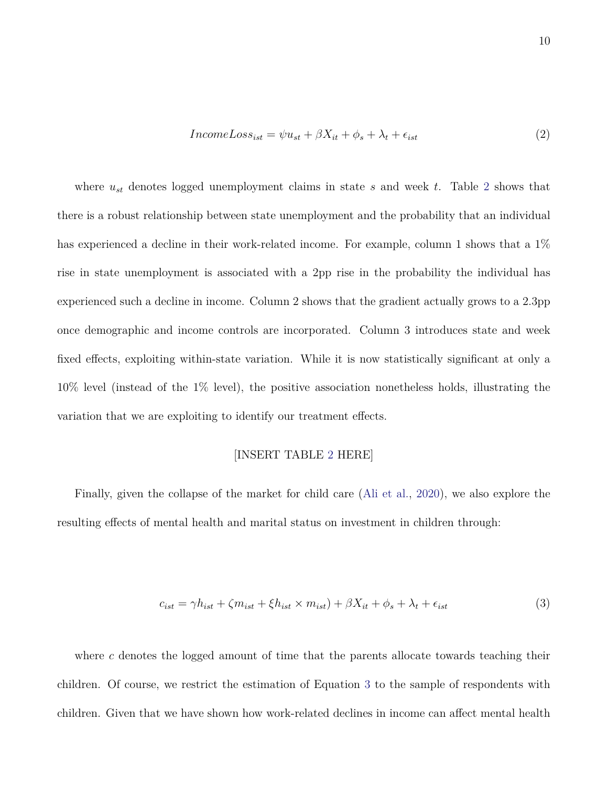$$
IncomeLoss_{ist} = \psi u_{st} + \beta X_{it} + \phi_s + \lambda_t + \epsilon_{ist}
$$
\n<sup>(2)</sup>

where  $u_{st}$  denotes logged unemployment claims in state  $s$  and week  $t$ . Table [2](#page-20-0) shows that there is a robust relationship between state unemployment and the probability that an individual has experienced a decline in their work-related income. For example, column 1 shows that a  $1\%$ rise in state unemployment is associated with a 2pp rise in the probability the individual has experienced such a decline in income. Column 2 shows that the gradient actually grows to a 2.3pp once demographic and income controls are incorporated. Column 3 introduces state and week fixed effects, exploiting within-state variation. While it is now statistically significant at only a 10% level (instead of the 1% level), the positive association nonetheless holds, illustrating the variation that we are exploiting to identify our treatment effects.

### <span id="page-10-0"></span>[INSERT TABLE [2](#page-20-0) HERE]

Finally, given the collapse of the market for child care [\(Ali et al.,](#page-29-3) [2020\)](#page-29-3), we also explore the resulting effects of mental health and marital status on investment in children through:

$$
c_{ist} = \gamma h_{ist} + \zeta m_{ist} + \xi h_{ist} \times m_{ist}) + \beta X_{it} + \phi_s + \lambda_t + \epsilon_{ist}
$$
\n
$$
\tag{3}
$$

where *c* denotes the logged amount of time that the parents allocate towards teaching their children. Of course, we restrict the estimation of Equation [3](#page-10-0) to the sample of respondents with children. Given that we have shown how work-related declines in income can affect mental health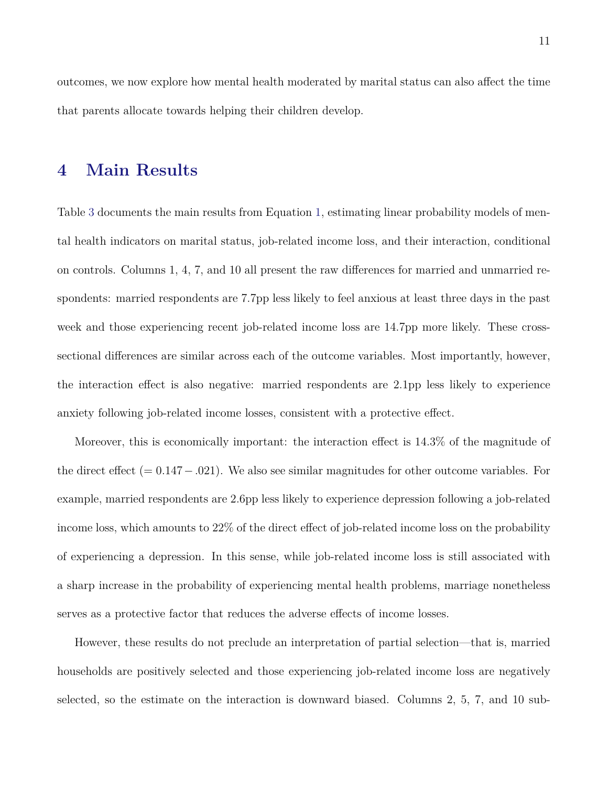outcomes, we now explore how mental health moderated by marital status can also affect the time that parents allocate towards helping their children develop.

### **4 Main Results**

Table [3](#page-24-0) documents the main results from Equation [1,](#page-9-0) estimating linear probability models of mental health indicators on marital status, job-related income loss, and their interaction, conditional on controls. Columns 1, 4, 7, and 10 all present the raw differences for married and unmarried respondents: married respondents are 7.7pp less likely to feel anxious at least three days in the past week and those experiencing recent job-related income loss are 14.7pp more likely. These crosssectional differences are similar across each of the outcome variables. Most importantly, however, the interaction effect is also negative: married respondents are 2.1pp less likely to experience anxiety following job-related income losses, consistent with a protective effect.

Moreover, this is economically important: the interaction effect is 14.3% of the magnitude of the direct effect (= 0*.*147−*.*021). We also see similar magnitudes for other outcome variables. For example, married respondents are 2.6pp less likely to experience depression following a job-related income loss, which amounts to 22% of the direct effect of job-related income loss on the probability of experiencing a depression. In this sense, while job-related income loss is still associated with a sharp increase in the probability of experiencing mental health problems, marriage nonetheless serves as a protective factor that reduces the adverse effects of income losses.

However, these results do not preclude an interpretation of partial selection—that is, married households are positively selected and those experiencing job-related income loss are negatively selected, so the estimate on the interaction is downward biased. Columns 2, 5, 7, and 10 sub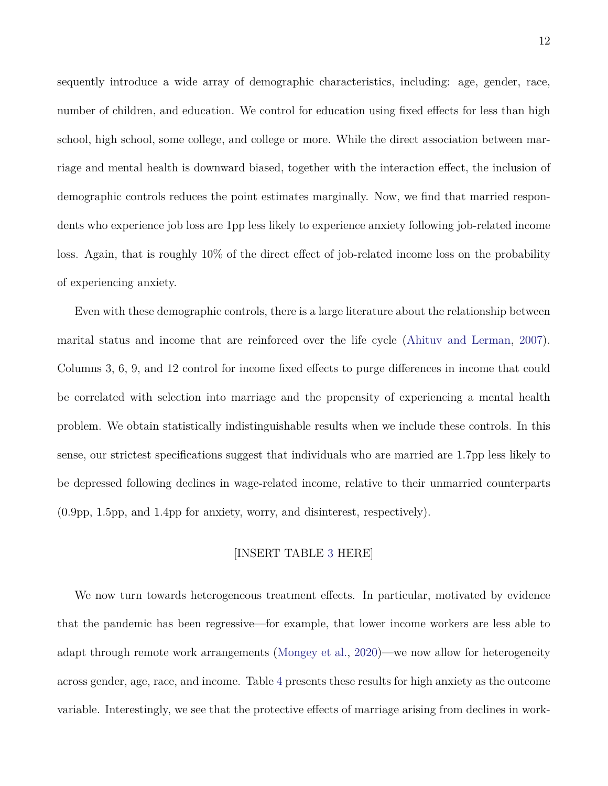sequently introduce a wide array of demographic characteristics, including: age, gender, race, number of children, and education. We control for education using fixed effects for less than high school, high school, some college, and college or more. While the direct association between marriage and mental health is downward biased, together with the interaction effect, the inclusion of demographic controls reduces the point estimates marginally. Now, we find that married respondents who experience job loss are 1pp less likely to experience anxiety following job-related income loss. Again, that is roughly 10% of the direct effect of job-related income loss on the probability of experiencing anxiety.

Even with these demographic controls, there is a large literature about the relationship between marital status and income that are reinforced over the life cycle [\(Ahituv and Lerman,](#page-29-1) [2007\)](#page-29-1). Columns 3, 6, 9, and 12 control for income fixed effects to purge differences in income that could be correlated with selection into marriage and the propensity of experiencing a mental health problem. We obtain statistically indistinguishable results when we include these controls. In this sense, our strictest specifications suggest that individuals who are married are 1.7pp less likely to be depressed following declines in wage-related income, relative to their unmarried counterparts (0.9pp, 1.5pp, and 1.4pp for anxiety, worry, and disinterest, respectively).

### [INSERT TABLE [3](#page-24-0) HERE]

We now turn towards heterogeneous treatment effects. In particular, motivated by evidence that the pandemic has been regressive—for example, that lower income workers are less able to adapt through remote work arrangements [\(Mongey et al.,](#page-32-6) [2020\)](#page-32-6)—we now allow for heterogeneity across gender, age, race, and income. Table [4](#page-25-0) presents these results for high anxiety as the outcome variable. Interestingly, we see that the protective effects of marriage arising from declines in work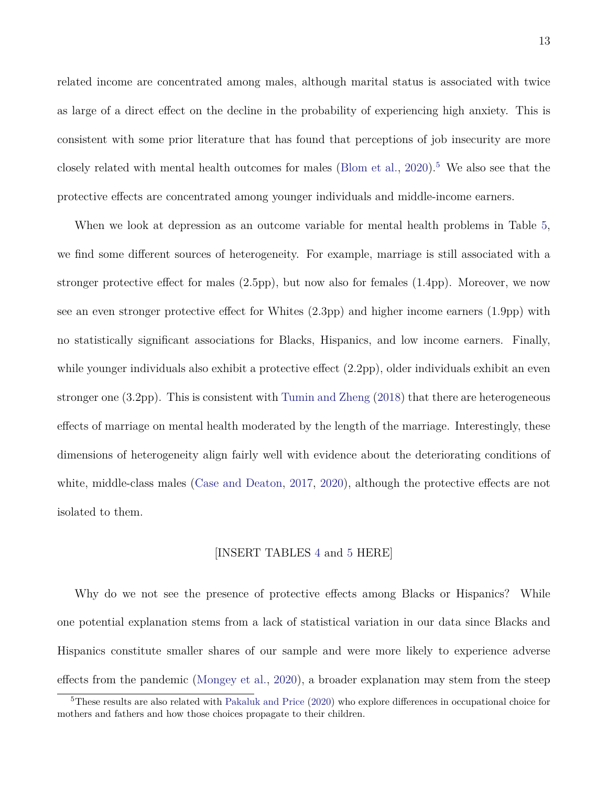related income are concentrated among males, although marital status is associated with twice as large of a direct effect on the decline in the probability of experiencing high anxiety. This is consistent with some prior literature that has found that perceptions of job insecurity are more closely related with mental health outcomes for males [\(Blom et al.,](#page-29-2)  $2020$ ).<sup>[5](#page-13-0)</sup> We also see that the protective effects are concentrated among younger individuals and middle-income earners.

When we look at depression as an outcome variable for mental health problems in Table [5,](#page-26-0) we find some different sources of heterogeneity. For example, marriage is still associated with a stronger protective effect for males (2.5pp), but now also for females (1.4pp). Moreover, we now see an even stronger protective effect for Whites (2.3pp) and higher income earners (1.9pp) with no statistically significant associations for Blacks, Hispanics, and low income earners. Finally, while younger individuals also exhibit a protective effect (2.2pp), older individuals exhibit an even stronger one (3.2pp). This is consistent with [Tumin and Zheng](#page-33-2) [\(2018\)](#page-33-2) that there are heterogeneous effects of marriage on mental health moderated by the length of the marriage. Interestingly, these dimensions of heterogeneity align fairly well with evidence about the deteriorating conditions of white, middle-class males [\(Case and Deaton,](#page-30-5) [2017,](#page-30-5) [2020\)](#page-30-6), although the protective effects are not isolated to them.

#### [INSERT TABLES [4](#page-25-0) and [5](#page-26-0) HERE]

Why do we not see the presence of protective effects among Blacks or Hispanics? While one potential explanation stems from a lack of statistical variation in our data since Blacks and Hispanics constitute smaller shares of our sample and were more likely to experience adverse effects from the pandemic [\(Mongey et al.,](#page-32-6) [2020\)](#page-32-6), a broader explanation may stem from the steep

<span id="page-13-0"></span><sup>&</sup>lt;sup>5</sup>These results are also related with [Pakaluk and Price](#page-33-3) [\(2020\)](#page-33-3) who explore differences in occupational choice for mothers and fathers and how those choices propagate to their children.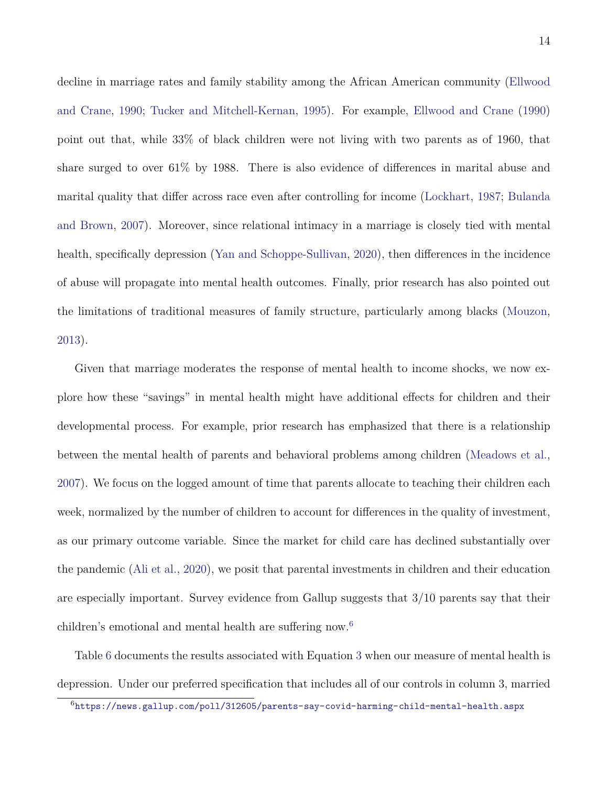decline in marriage rates and family stability among the African American community [\(Ellwood](#page-31-9) [and Crane,](#page-31-9) [1990;](#page-31-9) [Tucker and Mitchell-Kernan,](#page-33-7) [1995\)](#page-33-7). For example, [Ellwood and Crane](#page-31-9) [\(1990\)](#page-31-9) point out that, while 33% of black children were not living with two parents as of 1960, that share surged to over 61% by 1988. There is also evidence of differences in marital abuse and marital quality that differ across race even after controlling for income [\(Lockhart,](#page-32-7) [1987;](#page-32-7) [Bulanda](#page-30-7) [and Brown,](#page-30-7) [2007\)](#page-30-7). Moreover, since relational intimacy in a marriage is closely tied with mental health, specifically depression [\(Yan and Schoppe-Sullivan,](#page-33-1) [2020\)](#page-33-1), then differences in the incidence of abuse will propagate into mental health outcomes. Finally, prior research has also pointed out the limitations of traditional measures of family structure, particularly among blacks [\(Mouzon,](#page-32-8) [2013\)](#page-32-8).

Given that marriage moderates the response of mental health to income shocks, we now explore how these "savings" in mental health might have additional effects for children and their developmental process. For example, prior research has emphasized that there is a relationship between the mental health of parents and behavioral problems among children [\(Meadows et al.,](#page-32-3) [2007\)](#page-32-3). We focus on the logged amount of time that parents allocate to teaching their children each week, normalized by the number of children to account for differences in the quality of investment, as our primary outcome variable. Since the market for child care has declined substantially over the pandemic [\(Ali et al.,](#page-29-3) [2020\)](#page-29-3), we posit that parental investments in children and their education are especially important. Survey evidence from Gallup suggests that 3/10 parents say that their children's emotional and mental health are suffering now.[6](#page-14-0)

Table [6](#page-27-0) documents the results associated with Equation [3](#page-10-0) when our measure of mental health is depression. Under our preferred specification that includes all of our controls in column 3, married

<span id="page-14-0"></span><sup>6</sup><https://news.gallup.com/poll/312605/parents-say-covid-harming-child-mental-health.aspx>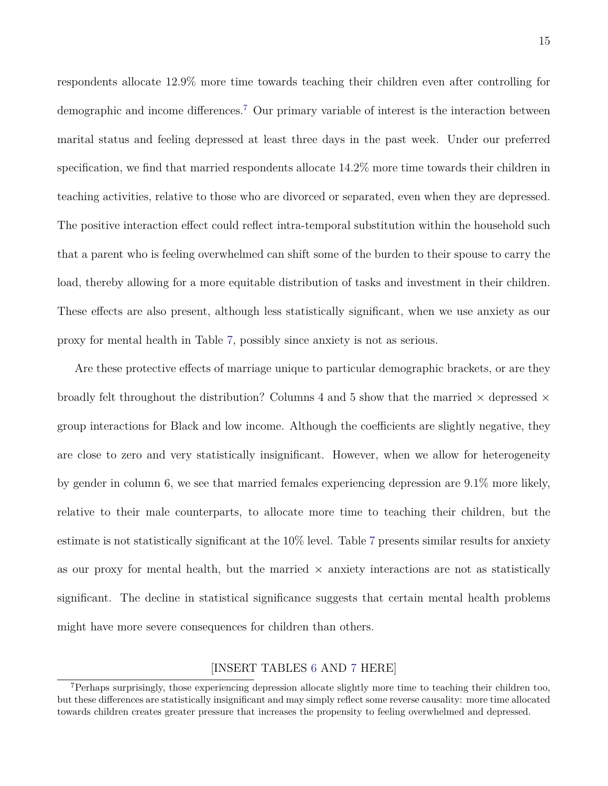respondents allocate 12.9% more time towards teaching their children even after controlling for demographic and income differences.<sup>[7](#page-15-0)</sup> Our primary variable of interest is the interaction between marital status and feeling depressed at least three days in the past week. Under our preferred specification, we find that married respondents allocate 14.2% more time towards their children in teaching activities, relative to those who are divorced or separated, even when they are depressed. The positive interaction effect could reflect intra-temporal substitution within the household such that a parent who is feeling overwhelmed can shift some of the burden to their spouse to carry the load, thereby allowing for a more equitable distribution of tasks and investment in their children. These effects are also present, although less statistically significant, when we use anxiety as our proxy for mental health in Table [7,](#page-28-0) possibly since anxiety is not as serious.

Are these protective effects of marriage unique to particular demographic brackets, or are they broadly felt throughout the distribution? Columns 4 and 5 show that the married  $\times$  depressed  $\times$ group interactions for Black and low income. Although the coefficients are slightly negative, they are close to zero and very statistically insignificant. However, when we allow for heterogeneity by gender in column 6, we see that married females experiencing depression are 9.1% more likely, relative to their male counterparts, to allocate more time to teaching their children, but the estimate is not statistically significant at the 10% level. Table [7](#page-28-0) presents similar results for anxiety as our proxy for mental health, but the married  $\times$  anxiety interactions are not as statistically significant. The decline in statistical significance suggests that certain mental health problems might have more severe consequences for children than others.

### [INSERT TABLES [6](#page-27-0) AND [7](#page-28-0) HERE]

<span id="page-15-0"></span><sup>&</sup>lt;sup>7</sup>Perhaps surprisingly, those experiencing depression allocate slightly more time to teaching their children too, but these differences are statistically insignificant and may simply reflect some reverse causality: more time allocated towards children creates greater pressure that increases the propensity to feeling overwhelmed and depressed.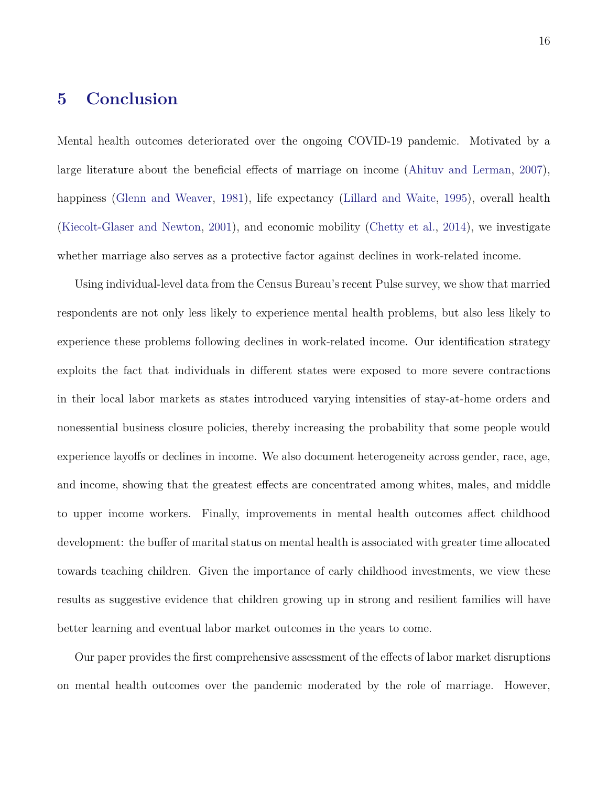# **5 Conclusion**

Mental health outcomes deteriorated over the ongoing COVID-19 pandemic. Motivated by a large literature about the beneficial effects of marriage on income [\(Ahituv and Lerman,](#page-29-1) [2007\)](#page-29-1), happiness [\(Glenn and Weaver,](#page-31-0) [1981\)](#page-31-0), life expectancy [\(Lillard and Waite,](#page-32-1) [1995\)](#page-32-1), overall health [\(Kiecolt-Glaser and Newton,](#page-32-2) [2001\)](#page-32-2), and economic mobility [\(Chetty et al.,](#page-30-0) [2014\)](#page-30-0), we investigate whether marriage also serves as a protective factor against declines in work-related income.

Using individual-level data from the Census Bureau's recent Pulse survey, we show that married respondents are not only less likely to experience mental health problems, but also less likely to experience these problems following declines in work-related income. Our identification strategy exploits the fact that individuals in different states were exposed to more severe contractions in their local labor markets as states introduced varying intensities of stay-at-home orders and nonessential business closure policies, thereby increasing the probability that some people would experience layoffs or declines in income. We also document heterogeneity across gender, race, age, and income, showing that the greatest effects are concentrated among whites, males, and middle to upper income workers. Finally, improvements in mental health outcomes affect childhood development: the buffer of marital status on mental health is associated with greater time allocated towards teaching children. Given the importance of early childhood investments, we view these results as suggestive evidence that children growing up in strong and resilient families will have better learning and eventual labor market outcomes in the years to come.

Our paper provides the first comprehensive assessment of the effects of labor market disruptions on mental health outcomes over the pandemic moderated by the role of marriage. However,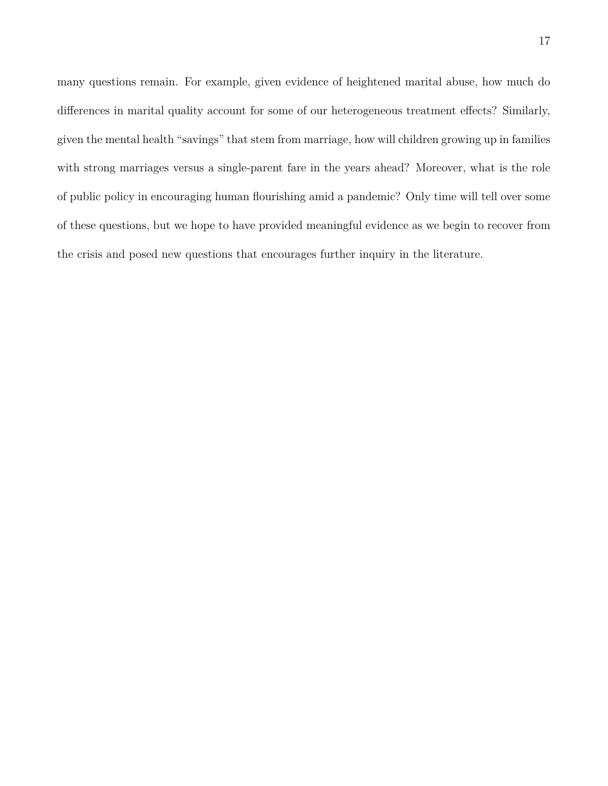many questions remain. For example, given evidence of heightened marital abuse, how much do differences in marital quality account for some of our heterogeneous treatment effects? Similarly, given the mental health "savings" that stem from marriage, how will children growing up in families with strong marriages versus a single-parent fare in the years ahead? Moreover, what is the role of public policy in encouraging human flourishing amid a pandemic? Only time will tell over some of these questions, but we hope to have provided meaningful evidence as we begin to recover from the crisis and posed new questions that encourages further inquiry in the literature.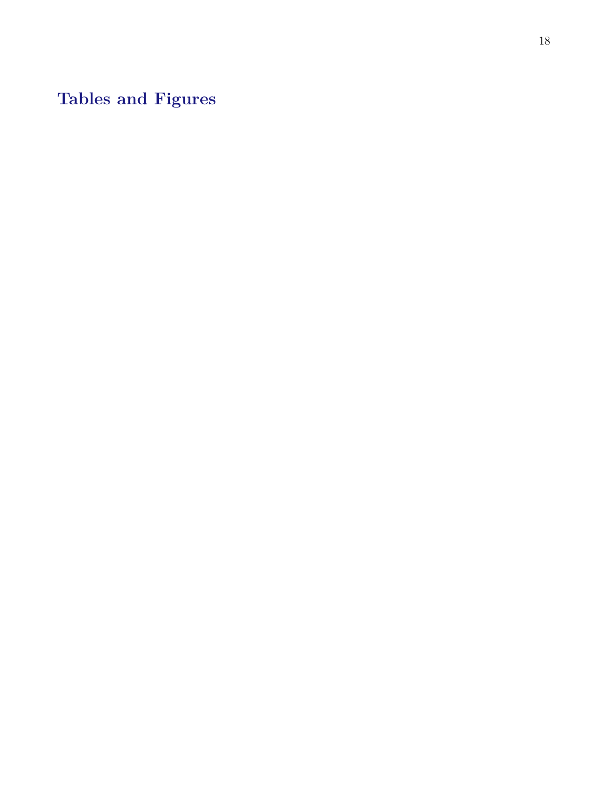**Tables and Figures**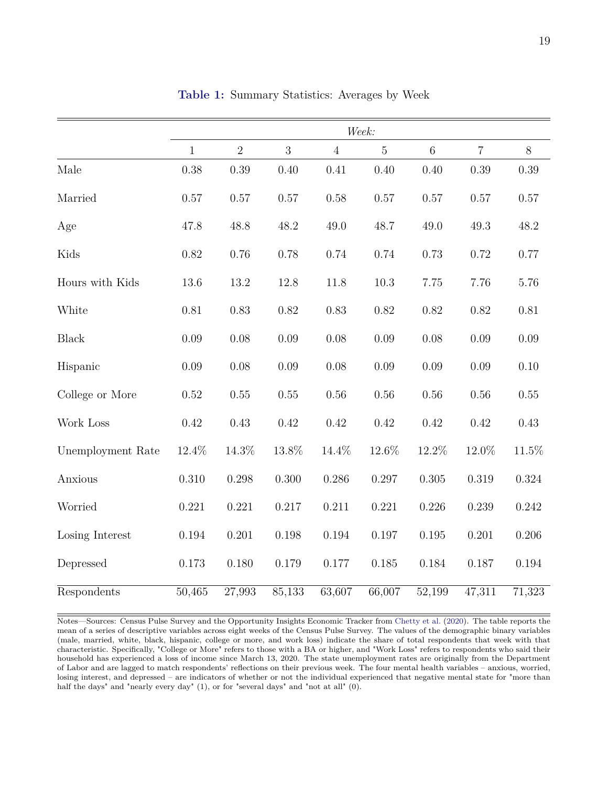<span id="page-19-0"></span>

|                   |              |                |          |                | Week:          |                 |                     |          |
|-------------------|--------------|----------------|----------|----------------|----------------|-----------------|---------------------|----------|
|                   | $\mathbf{1}$ | $\overline{2}$ | 3        | $\overline{4}$ | $\overline{5}$ | $6\phantom{.}6$ | $\overline{7}$      | 8        |
| Male              | 0.38         | 0.39           | 0.40     | 0.41           | 0.40           | 0.40            | 0.39                | 0.39     |
| Married           | 0.57         | 0.57           | $0.57\,$ | 0.58           | $0.57\,$       | $0.57\,$        | $0.57\,$            | $0.57\,$ |
| Age               | 47.8         | 48.8           | 48.2     | 49.0           | 48.7           | 49.0            | 49.3                | 48.2     |
| Kids              | 0.82         | 0.76           | 0.78     | 0.74           | 0.74           | 0.73            | 0.72                | 0.77     |
| Hours with Kids   | 13.6         | 13.2           | 12.8     | 11.8           | $10.3\,$       | 7.75            | 7.76                | 5.76     |
| White             | $0.81\,$     | 0.83           | 0.82     | 0.83           | 0.82           | $0.82\,$        | 0.82                | $0.81\,$ |
| <b>Black</b>      | 0.09         | 0.08           | $0.09\,$ | 0.08           | 0.09           | $0.08\,$        | 0.09                | $0.09\,$ |
| Hispanic          | 0.09         | 0.08           | $0.09\,$ | 0.08           | 0.09           | 0.09            | 0.09                | $0.10\,$ |
| College or More   | 0.52         | 0.55           | $0.55\,$ | 0.56           | 0.56           | 0.56            | 0.56                | 0.55     |
| Work Loss         | 0.42         | 0.43           | 0.42     | 0.42           | 0.42           | 0.42            | 0.42                | 0.43     |
| Unemployment Rate | 12.4%        | $14.3\%$       | $13.8\%$ | 14.4%          | 12.6%          | 12.2%           | 12.0%               | $11.5\%$ |
| Anxious           | $0.310\,$    | 0.298          | 0.300    | 0.286          | 0.297          | 0.305           | 0.319               | 0.324    |
| Worried           | 0.221        | 0.221          | 0.217    | 0.211          | 0.221          | 0.226           | 0.239               | 0.242    |
| Losing Interest   | 0.194        | 0.201          | 0.198    | 0.194          | 0.197          | 0.195           | 0.201               | 0.206    |
| Depressed         | 0.173        | 0.180          | 0.179    | 0.177          | 0.185          | 0.184           | 0.187               | 0.194    |
| Respondents       | 50,465       | 27,993         | 85,133   | 63,607         | 66,007         | 52,199          | $\overline{47,311}$ | 71,323   |

**Table 1:** Summary Statistics: Averages by Week

Notes—Sources: Census Pulse Survey and the Opportunity Insights Economic Tracker from [Chetty et al.](#page-30-4) [\(2020\)](#page-30-4). The table reports the mean of a series of descriptive variables across eight weeks of the Census Pulse Survey. The values of the demographic binary variables (male, married, white, black, hispanic, college or more, and work loss) indicate the share of total respondents that week with that characteristic. Specifically, "College or More" refers to those with a BA or higher, and "Work Loss" refers to respondents who said their household has experienced a loss of income since March 13, 2020. The state unemployment rates are originally from the Department of Labor and are lagged to match respondents' reflections on their previous week. The four mental health variables – anxious, worried, losing interest, and depressed – are indicators of whether or not the individual experienced that negative mental state for "more than half the days" and "nearly every day" (1), or for "several days" and "not at all" (0).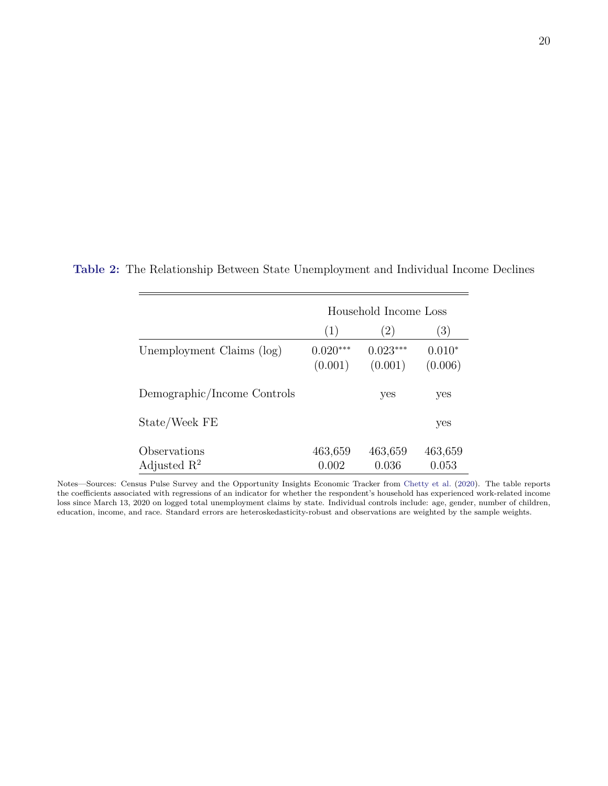|                                         |                       | Household Income Loss |                     |
|-----------------------------------------|-----------------------|-----------------------|---------------------|
|                                         | (1)                   | $\left( 2\right)$     | (3)                 |
| Unemployment Claims (log)               | $0.020***$<br>(0.001) | $0.023***$<br>(0.001) | $0.010*$<br>(0.006) |
| Demographic/Income Controls             |                       | yes                   | yes                 |
| State/Week FE                           |                       |                       | yes                 |
| Observations<br>Adjusted $\mathbb{R}^2$ | 463,659<br>0.002      | 463,659<br>0.036      | 463,659<br>0.053    |

<span id="page-20-0"></span>**Table 2:** The Relationship Between State Unemployment and Individual Income Declines

Notes—Sources: Census Pulse Survey and the Opportunity Insights Economic Tracker from [Chetty et al.](#page-30-4) [\(2020\)](#page-30-4). The table reports the coefficients associated with regressions of an indicator for whether the respondent's household has experienced work-related income loss since March 13, 2020 on logged total unemployment claims by state. Individual controls include: age, gender, number of children, education, income, and race. Standard errors are heteroskedasticity-robust and observations are weighted by the sample weights.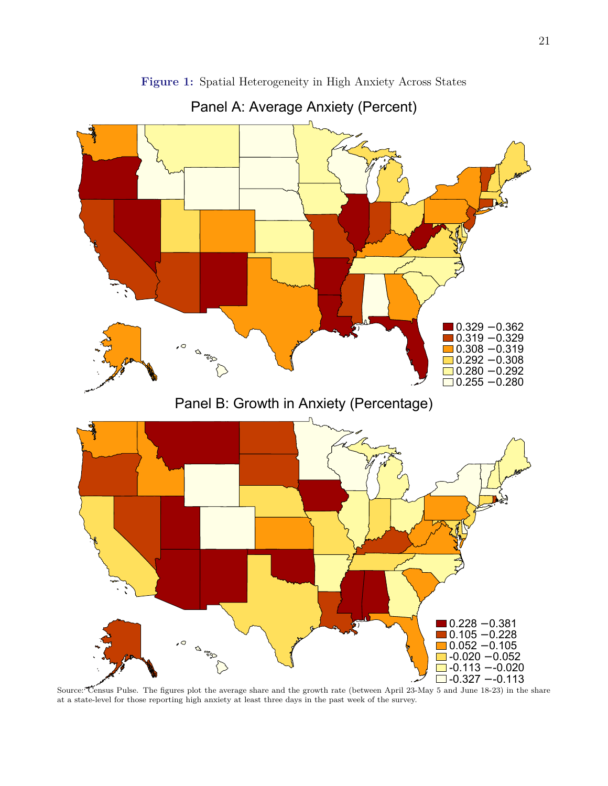<span id="page-21-0"></span>

**Figure 1:** Spatial Heterogeneity in High Anxiety Across States

Panel A: Average Anxiety (Percent)

Source: Census Pulse. The figures plot the average share and the growth rate (between April 23-May 5 and June 18-23) in the share at a state-level for those reporting high anxiety at least three days in the past week of the survey.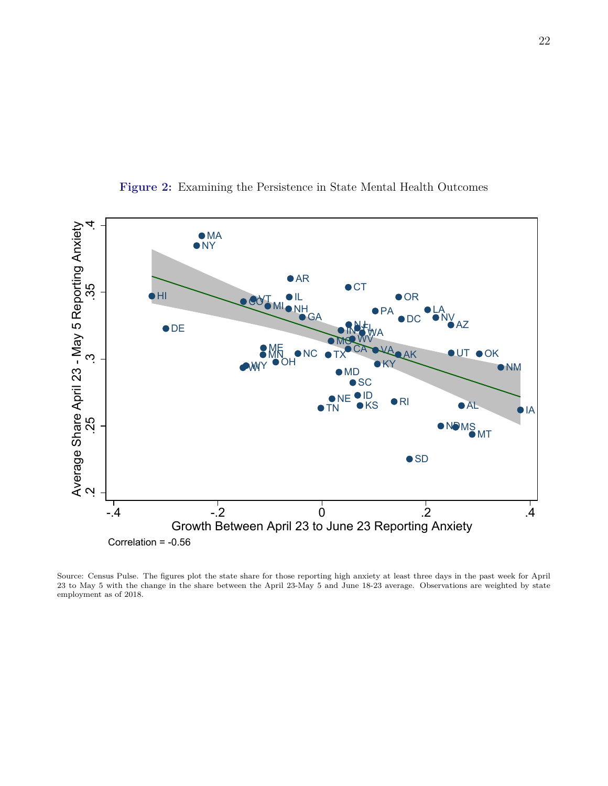<span id="page-22-0"></span>

**Figure 2:** Examining the Persistence in State Mental Health Outcomes

Source: Census Pulse. The figures plot the state share for those reporting high anxiety at least three days in the past week for April 23 to May 5 with the change in the share between the April 23-May 5 and June 18-23 average. Observations are weighted by state employment as of 2018.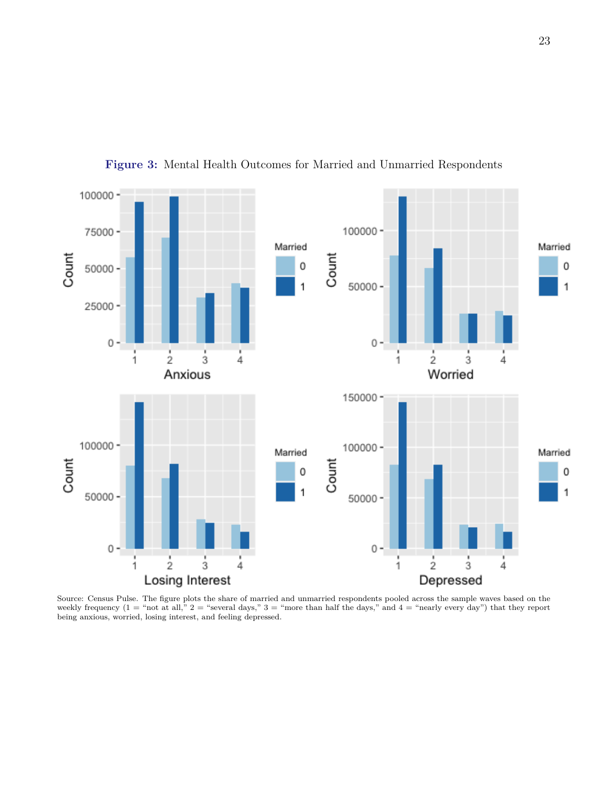<span id="page-23-0"></span>

**Figure 3:** Mental Health Outcomes for Married and Unmarried Respondents

Source: Census Pulse. The figure plots the share of married and unmarried respondents pooled across the sample waves based on the weekly frequency  $(1 = "not at all," 2 = "several days," 3 = "more than half the days," and 4 = "nearly every day") that they report$ being anxious, worried, losing interest, and feeling depressed.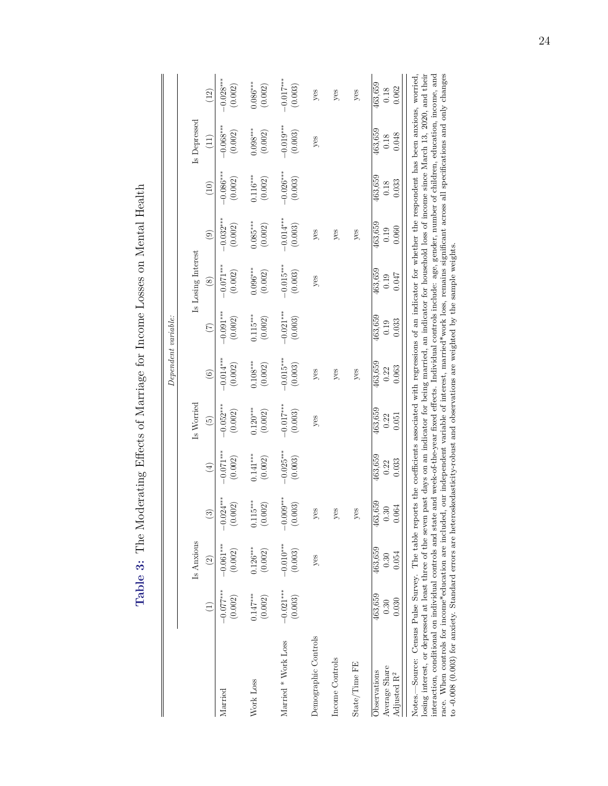<span id="page-24-0"></span>

| i                                                                                                              |
|----------------------------------------------------------------------------------------------------------------|
|                                                                                                                |
|                                                                                                                |
| $\frac{1}{2}$<br>ì                                                                                             |
|                                                                                                                |
|                                                                                                                |
|                                                                                                                |
|                                                                                                                |
|                                                                                                                |
|                                                                                                                |
| Construction of the construction of                                                                            |
|                                                                                                                |
|                                                                                                                |
| I                                                                                                              |
|                                                                                                                |
|                                                                                                                |
|                                                                                                                |
| J                                                                                                              |
| where the reading to the reading                                                                               |
|                                                                                                                |
|                                                                                                                |
|                                                                                                                |
|                                                                                                                |
|                                                                                                                |
|                                                                                                                |
|                                                                                                                |
| ון ספר באינו אינו באינו באינו באינו באינו באינו באינו באינו באינו באינו באינו באינו באינו באינו באינו באינו בא |
|                                                                                                                |
|                                                                                                                |
| ۶<br>آ                                                                                                         |
| )                                                                                                              |
|                                                                                                                |
|                                                                                                                |
|                                                                                                                |
|                                                                                                                |
|                                                                                                                |
|                                                                                                                |
|                                                                                                                |
|                                                                                                                |
| $-1.2$ $-1.3$ $-1.1$                                                                                           |
| $\Gamma_2$ $\Gamma_3$ $\Omega_3$ $\Gamma_1$ .<br><b>LaDIE J.</b>                                               |
|                                                                                                                |
|                                                                                                                |
|                                                                                                                |
|                                                                                                                |

 $\operatorname{Health}$ 

|                                                                                                                                                                                                                                                                                                                                                                                                                                                                                                                                                                                                                                                                                                                                                                                                                                                                             |                          |                          |                                      |                          |                          |                          | $Dependent\ variable:$   |                          |                          |                          |                          |                          |
|-----------------------------------------------------------------------------------------------------------------------------------------------------------------------------------------------------------------------------------------------------------------------------------------------------------------------------------------------------------------------------------------------------------------------------------------------------------------------------------------------------------------------------------------------------------------------------------------------------------------------------------------------------------------------------------------------------------------------------------------------------------------------------------------------------------------------------------------------------------------------------|--------------------------|--------------------------|--------------------------------------|--------------------------|--------------------------|--------------------------|--------------------------|--------------------------|--------------------------|--------------------------|--------------------------|--------------------------|
|                                                                                                                                                                                                                                                                                                                                                                                                                                                                                                                                                                                                                                                                                                                                                                                                                                                                             |                          | Is Anxious               |                                      |                          | Is Worried               |                          |                          | Is Losing Interest       |                          |                          | Is Depressed             |                          |
|                                                                                                                                                                                                                                                                                                                                                                                                                                                                                                                                                                                                                                                                                                                                                                                                                                                                             |                          | $\widehat{c}$            | $\widehat{\mathcal{E}}$              | $\bigoplus$              | $\widetilde{5}$          | $\odot$                  | $\widehat{C}$            | $\circledast$            | $\odot$                  | (10)                     | $\left(11\right)$        | (12)                     |
| Married                                                                                                                                                                                                                                                                                                                                                                                                                                                                                                                                                                                                                                                                                                                                                                                                                                                                     | $-0.077***$<br>(0.002)   | $-0.061***$<br>(0.002)   | $-0.024***$<br>$\left(0.002\right)$  | $-0.071***$<br>(0.002)   | $0.052***$<br>(0.002)    | $-0.014***$<br>(0.002)   | $-0.091***$<br>(0.002)   | $-0.071***$<br>(0.002)   | $-0.032***$<br>(0.002)   | $-0.086***$<br>(0.002)   | $-0.068***$<br>(0.002)   | $-0.028***$<br>(0.002)   |
| Work Loss                                                                                                                                                                                                                                                                                                                                                                                                                                                                                                                                                                                                                                                                                                                                                                                                                                                                   | $0.147***$<br>(0.002)    | $0.126***$<br>(0.002)    | $15***$<br>(0.002)<br>$\overline{0}$ | $0.141***$<br>(0.002)    | $0.120***$<br>(0.002)    | $0.108***$<br>(0.002)    | $0.115***$<br>(0.002)    | $0.096***$<br>(0.002)    | $0.085***$<br>(0.002)    | $0.116***$<br>(0.002)    | $0.098***$<br>(0.002)    | $0.086***$<br>(0.002)    |
| Married * Work Loss                                                                                                                                                                                                                                                                                                                                                                                                                                                                                                                                                                                                                                                                                                                                                                                                                                                         | $-0.021***$<br>(0.003)   | $-0.010***$<br>(0.003)   | $-0.009***$<br>(0.003)               | $-0.025***$<br>(0.003)   | $-0.017***$<br>(0.003)   | $-0.015***$<br>(0.003)   | $-0.021***$<br>(0.003)   | $-0.015***$<br>(0.003)   | $-0.014***$<br>(0.003)   | $-0.026***$<br>(0.003)   | $-0.019***$<br>(0.003)   | $-0.017***$<br>(0.003)   |
| Demographic Controls                                                                                                                                                                                                                                                                                                                                                                                                                                                                                                                                                                                                                                                                                                                                                                                                                                                        |                          | yes                      | yes                                  |                          | yes                      | yes                      |                          | yes                      | yes                      |                          | $y$ es                   | yes                      |
| Income Controls                                                                                                                                                                                                                                                                                                                                                                                                                                                                                                                                                                                                                                                                                                                                                                                                                                                             |                          |                          | yes                                  |                          |                          | yes                      |                          |                          | yes                      |                          |                          | yes                      |
| State/Time FE                                                                                                                                                                                                                                                                                                                                                                                                                                                                                                                                                                                                                                                                                                                                                                                                                                                               |                          |                          | yes                                  |                          |                          | yes                      |                          |                          | yes                      |                          |                          | yes                      |
| Average Share<br>Observations<br>Adjusted R <sup>2</sup>                                                                                                                                                                                                                                                                                                                                                                                                                                                                                                                                                                                                                                                                                                                                                                                                                    | 463,659<br>0.030<br>0.30 | 463,659<br>0.054<br>0.30 | 3,659<br>0.064<br>0.30<br>463        | 463,659<br>0.033<br>0.22 | 463,659<br>0.22<br>0.051 | 463,659<br>0.063<br>0.22 | 463,659<br>0.033<br>0.19 | 463,659<br>0.047<br>0.19 | 463,659<br>0.060<br>0.19 | 463,659<br>0.033<br>0.18 | 463,659<br>0.048<br>0.18 | 463,659<br>0.062<br>0.18 |
| race. When controls for income*education are included, our independent variable of interest, married*work loss, remains significant across all specifications and only changes<br>losing interest, or depressed at least three of the seven past days on an indicator for being married, an indicator for household loss of income since March 13, 2020, and their<br>Notes.—Source: Census Pulse Survey. The table reports the coefficients associated with regressions of an indicator for whether the respondent has been anxious, worried,<br>interaction, conditional on individual controls and state and week-of-the-year fixed effects. Individual controls include: age, gender, number of children, education, income, and<br>to $-0.008$ (0.003) for anxiety. Standard errors are heteroskedasticity-robust and observations are weighted by the sample weights. |                          |                          |                                      |                          |                          |                          |                          |                          |                          |                          |                          |                          |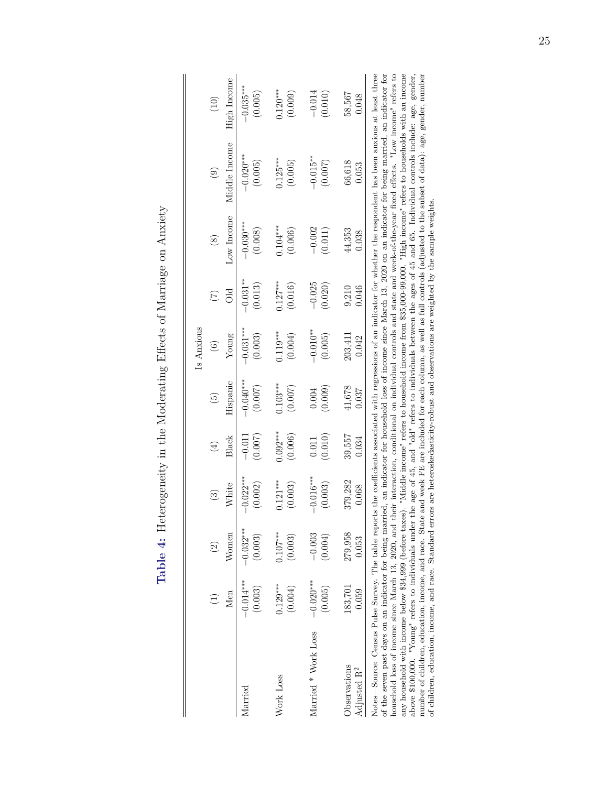<span id="page-25-0"></span>

| wating hittory of Nicanas<br> <br> <br>                                                                  |  |
|----------------------------------------------------------------------------------------------------------|--|
| ξ<br>[                                                                                                   |  |
| )<br>į<br>$\begin{array}{c} \n \overline{1} & \overline{1} & \overline{1} & \overline{1} \n \end{array}$ |  |
| $-4$ distance of $\frac{1}{2}$ and $\frac{1}{2}$<br>5                                                    |  |
| Lable 4:                                                                                                 |  |

|                                                                                                                                                                              |             |               |             |            |                | Is Anxious  |                     |               |               |             |
|------------------------------------------------------------------------------------------------------------------------------------------------------------------------------|-------------|---------------|-------------|------------|----------------|-------------|---------------------|---------------|---------------|-------------|
|                                                                                                                                                                              |             | $\widehat{c}$ | $\odot$     | $\tag{4}$  | $\binom{5}{2}$ | $\circ$     | $(\widetilde{\Xi})$ | $\circledast$ | $\odot$       | (10)        |
|                                                                                                                                                                              | Men         | $\rm{Women}$  | White       | Black      | Hispanic       | Young       | 5IC                 | Low Income    | Middle Income | High Income |
| Iarried                                                                                                                                                                      | $-0.014***$ | $-0.032***$   | $-0.022***$ | $-0.011$   | $-0.040***$    | $-0.031***$ | $-0.031***$         | $-0.030**$    | $-0.020***$   | $-0.035***$ |
|                                                                                                                                                                              | (0.003)     | (0.003)       | (0.002)     | (0.007)    | (0.007)        | (0.003)     | (0.013)             | (0.008)       | (0.005)       | (0.005)     |
| Nork Loss                                                                                                                                                                    | $0.129***$  | $0.107***$    | $0.121***$  | $0.092***$ | $0.103***$     | $0.119***$  | $0.127***$          | $0.104***$    | $0.125***$    | $0.120***$  |
|                                                                                                                                                                              | (0.004)     | (0.003)       | (0.003)     | (0.006)    | (0.007)        | (0.004)     | (0.016)             | (0.006)       | (0.005)       | (0.009)     |
| Married * Work Loss                                                                                                                                                          | $-0.020***$ | $-0.003$      | $-0.016***$ | (0.010)    | (0.009)        | $-0.010**$  | $-0.025$            | $-0.002$      | $-0.015**$    | $-0.014$    |
|                                                                                                                                                                              | (0.005)     | (0.004)       | (0.003)     | 0.011      | 0.004          | (0.005)     | (0.020)             | (0.011)       | (0.007)       | (0.010)     |
| <b>O</b> servations                                                                                                                                                          | 183,701     | 279,958       | 379,282     | 39,557     | 41,678         | 203,411     | 9,210               | 44,353        | 66,618        | 58,567      |
| Adjusted R <sup>2</sup>                                                                                                                                                      | 0.059       | 0.053         | 0.068       | 0.034      | 0.037          | 0.042       | 0.046               | 0.038         | 0.053         | 0.048       |
| Notes—Source: Census Pulse Survey. The table reports the coefficients associated with regressions of an indicator for whether the respondent has been anxious at least three |             |               |             |            |                |             |                     |               |               |             |

of the seven past days on an indicator for being married, an indicator for household loss of income since March 13, 2020 on an indicator for being married, an indicator for<br>household loss of income since March 13, 2020, an any household with income below \$34,999 (before taxes). "Middle income" refers to household income from \$35,000-99,000. "High income" refers to households with an income above \$100,000. "Young" refers to individuals under the age of 45, and "old" refers to individuals between the ages of 45 and 65. Individual controls include: age, gender, and the subset of children, education, income, and of the seven past days on an indicator for being married, an indicator for household loss of income since March 13, 2020 on an indicator for being married, an indicator for household loss of income since March 13, 2020, and their interaction, conditional on individual controls and state and week-of-the-year fixed effects. "Low income" refers to any household with income below \$34,999 (before taxes). "Middle income" refers to household income from \$35,000-99,000. "High income" refers to households with an income above \$100,000. "Young" refers to individuals under the age of 45, and "old" refers to individuals between the ages of 45 and 65. Individual controls include: age, gender, number of children, education, income, and race. State and week FE are included for each column, as well as full controls (adjusted to the subset of data): age, gender, number of children, education, income, and race. Standard errors are heteroskedasticity-robust and observations are weighted by the sample weights. of children, education, income, and race. Standard errors are heteroskedasticity-robust and observations are weighted by the sample weights.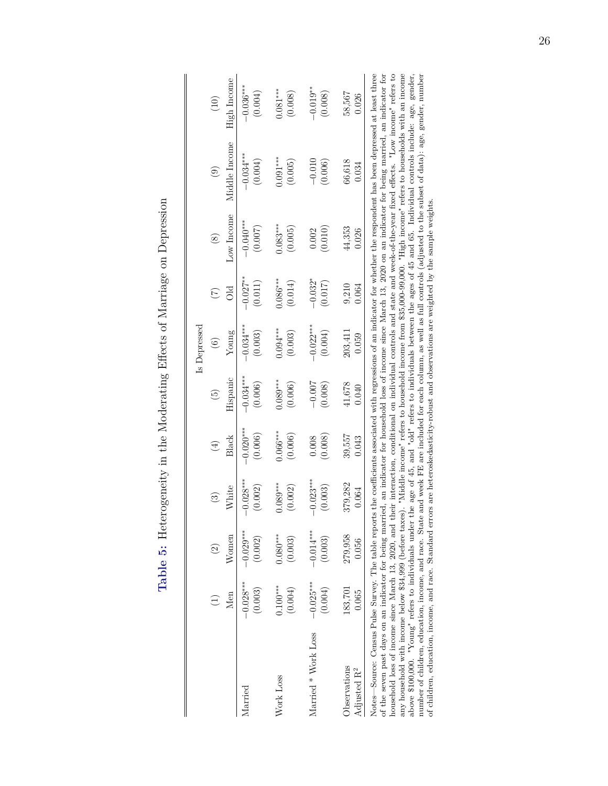| l<br>ſ<br>5                                                                                                         |
|---------------------------------------------------------------------------------------------------------------------|
| ĺ<br>֧֦֧֦֧ׅ֧֧֧ׅ֧֦֧ׅ֧֧֧ׅ֧֧֧֧֧֧֧֛֪֛֛֛֛֛֛֛֛֚֚֚֚֚֚֚֚֚֚֚֚֚֝֕֝֝֬֝֜֝֬֝֓֝֬֝֓֝֬֜֓֝֬֝֬֜֓֝֬֝֬֜֝֬֝֬֝֬֝֬֝֬֜֝֝֝֝֝֝<br>i<br>ו<br>נ |
| ۶<br>آ                                                                                                              |
| i<br>l                                                                                                              |
| $\sim$ $\sim$ $\sim$ $\sim$                                                                                         |
| .com/2011_2014.com/2012.html<br>)<br>ļ                                                                              |
| Lubiu order<br>ים הוא הוא הו<br>l<br>,<br>;                                                                         |

<span id="page-26-0"></span>

|                                                                                                                                                                                                                                                                                                                                                                                                                  |             |             |             |            |                 | Is Depressed |                 |               |               |             |
|------------------------------------------------------------------------------------------------------------------------------------------------------------------------------------------------------------------------------------------------------------------------------------------------------------------------------------------------------------------------------------------------------------------|-------------|-------------|-------------|------------|-----------------|--------------|-----------------|---------------|---------------|-------------|
|                                                                                                                                                                                                                                                                                                                                                                                                                  |             | $\odot$     | $\odot$     | $(\pm)$    | $\widetilde{5}$ | $\odot$      | $\widetilde{C}$ | $\circledast$ | $\odot$       | (10)        |
|                                                                                                                                                                                                                                                                                                                                                                                                                  | Men         | Women       | White       | Black      | Hispanic        | Young        |                 | Low Income    | Middle Income | High Income |
| larried                                                                                                                                                                                                                                                                                                                                                                                                          | $-0.028***$ | $-0.029***$ | $-0.028***$ | $-0.020**$ | $-0.034***$     | $-0.034***$  | $-0.027***$     | $-0.040**$    | $-0.034***$   | $-0.036***$ |
|                                                                                                                                                                                                                                                                                                                                                                                                                  | (0.003)     | (0.002)     | (0.002)     | (0.006)    | (0.006)         | (0.003)      | (0.011)         | (0.007)       | (0.004)       | (0.004)     |
| Work Loss                                                                                                                                                                                                                                                                                                                                                                                                        | $0.100***$  | $0.080***$  | $0.089***$  | $0.066***$ | $0.089***$      | $0.094***$   | $0.086***$      | $0.083***$    | $0.091***$    | $0.081***$  |
|                                                                                                                                                                                                                                                                                                                                                                                                                  | (0.004)     | (0.003)     | (0.002)     | (0.006)    | (0.006)         | (0.003)      | (0.014)         | (0.005)       | (0.005)       | (0.008)     |
| Married * Work Loss                                                                                                                                                                                                                                                                                                                                                                                              | $-0.025***$ | $-0.014***$ | $-0.023***$ | (0.008)    | $-0.007$        | $-0.022$ **  | $-0.032*$       | (0.010)       | $-0.010$      | $-0.019**$  |
|                                                                                                                                                                                                                                                                                                                                                                                                                  | (0.004)     | (0.003)     | (0.003)     | 0.008      | (0.008)         | (0.004)      | (0.017)         | 0.002         | (0.006)       | (0.008)     |
| <b>Jbservations</b>                                                                                                                                                                                                                                                                                                                                                                                              | 183,701     | 279,958     | 379,282     | 39,557     | 41,678          | 203,411      | 9,210           | 44,353        | 66,618        | 58,567      |
| Adjusted R <sup>2</sup>                                                                                                                                                                                                                                                                                                                                                                                          | 0.065       | 0.056       | 0.064       | 0.043      | 0.040           | 0.059        | 0.064           | 0.026         | 0.034         | 0.026       |
| Notes—Source: Census Pulse Survey. The table reports the coefficients associated with regressions of an indicator for whether the respondent has been depressed at least three<br>the series are the form from the process to the form host of the contract of the compact of the contract of the contract of the contract on the form of the contract on the form of the contract on the contract on the contra |             |             |             |            |                 |              |                 |               |               |             |

of the seven past days on an indicator for being married, an indicator for household loss of income since March 13, 2020 on an indicator for being married, an indicator for being married, an indicator for household loss of of the seven past days on an indicator for being married, an indicator for household loss of income since March 13, 2020 on an indicator for being married, an indicator for household loss of income since March 13, 2020, and their interaction, conditional on individual controls and state and week-of-the-year fixed effects. "Low income" refers to any household with income below \$34,999 (before taxes). "Middle income" refers to household income from \$35,000-99,000. "High income" refers to households with an income above \$100,000. "Young" refers to individuals under the age of 45, and "old" refers to individuals between the ages of 45 and 65. Individual controls include: age, gender, number of children, education, income, and race. State and week FE are included for each column, as well as full controls (adjusted to the subset of data): age, gender, number of children, education, income, and race. Standard errors are heteroskedasticity-robust and observations are weighted by the sample weights.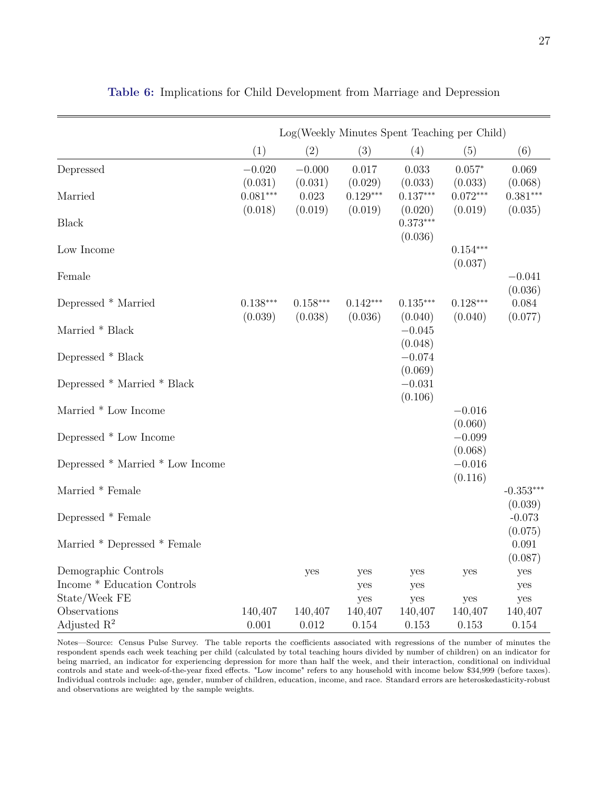<span id="page-27-0"></span>

|                                  |                       |                       | Log(Weekly Minutes Spent Teaching per Child) |                                  |                       |                        |
|----------------------------------|-----------------------|-----------------------|----------------------------------------------|----------------------------------|-----------------------|------------------------|
|                                  | (1)                   | (2)                   | (3)                                          | (4)                              | (5)                   | (6)                    |
| Depressed                        | $-0.020$<br>(0.031)   | $-0.000$<br>(0.031)   | 0.017<br>(0.029)                             | 0.033<br>(0.033)                 | $0.057*$<br>(0.033)   | 0.069<br>(0.068)       |
| Married                          | $0.081***$            | 0.023                 | $0.129***$                                   | $0.137***$                       | $0.072***$            | $0.381***$             |
| <b>Black</b>                     | (0.018)               | (0.019)               | (0.019)                                      | (0.020)<br>$0.373***$<br>(0.036) | (0.019)               | (0.035)                |
| Low Income                       |                       |                       |                                              |                                  | $0.154***$<br>(0.037) |                        |
| Female                           |                       |                       |                                              |                                  |                       | $-0.041$<br>(0.036)    |
| Depressed * Married              | $0.138***$<br>(0.039) | $0.158***$<br>(0.038) | $0.142***$<br>(0.036)                        | $0.135***$<br>(0.040)            | $0.128***$<br>(0.040) | 0.084<br>(0.077)       |
| Married * Black                  |                       |                       |                                              | $-0.045$                         |                       |                        |
| Depressed * Black                |                       |                       |                                              | (0.048)<br>$-0.074$              |                       |                        |
| Depressed * Married * Black      |                       |                       |                                              | (0.069)<br>$-0.031$<br>(0.106)   |                       |                        |
| Married * Low Income             |                       |                       |                                              |                                  | $-0.016$<br>(0.060)   |                        |
| Depressed * Low Income           |                       |                       |                                              |                                  | $-0.099$<br>(0.068)   |                        |
| Depressed * Married * Low Income |                       |                       |                                              |                                  | $-0.016$<br>(0.116)   |                        |
| Married * Female                 |                       |                       |                                              |                                  |                       | $-0.353***$<br>(0.039) |
| Depressed * Female               |                       |                       |                                              |                                  |                       | $-0.073$<br>(0.075)    |
| Married * Depressed * Female     |                       |                       |                                              |                                  |                       | 0.091<br>(0.087)       |
| Demographic Controls             |                       | yes                   | yes                                          | yes                              | yes                   | yes                    |
| Income * Education Controls      |                       |                       | yes                                          | yes                              |                       | yes                    |
| State/Week FE<br>Observations    |                       |                       | yes                                          | yes                              | yes                   | yes                    |
| Adjusted $\mathbb{R}^2$          | 140,407<br>0.001      | 140,407<br>0.012      | 140,407<br>0.154                             | 140,407<br>0.153                 | 140,407<br>0.153      | 140,407<br>0.154       |

**Table 6:** Implications for Child Development from Marriage and Depression

Notes—Source: Census Pulse Survey. The table reports the coefficients associated with regressions of the number of minutes the respondent spends each week teaching per child (calculated by total teaching hours divided by number of children) on an indicator for being married, an indicator for experiencing depression for more than half the week, and their interaction, conditional on individual controls and state and week-of-the-year fixed effects. "Low income" refers to any household with income below \$34,999 (before taxes). Individual controls include: age, gender, number of children, education, income, and race. Standard errors are heteroskedasticity-robust and observations are weighted by the sample weights.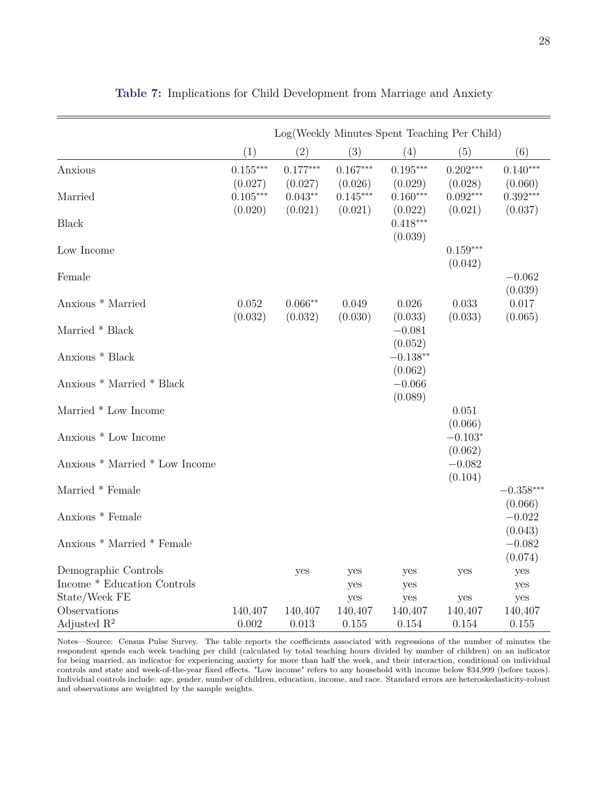<span id="page-28-0"></span>

|                                |                       |                       |                       | Log(Weekly Minutes Spent Teaching Per Child) |                       |                        |
|--------------------------------|-----------------------|-----------------------|-----------------------|----------------------------------------------|-----------------------|------------------------|
|                                | (1)                   | (2)                   | (3)                   | (4)                                          | (5)                   | (6)                    |
| Anxious                        | $0.155***$<br>(0.027) | $0.177***$<br>(0.027) | $0.167***$<br>(0.026) | $0.195***$<br>(0.029)                        | $0.202***$<br>(0.028) | $0.140***$<br>(0.060)  |
| Married                        | $0.105***$            | $0.043**$             | $0.145***$            | $0.160***$                                   | $0.092***$            | $0.392***$             |
| <b>Black</b>                   | (0.020)               | (0.021)               | (0.021)               | (0.022)<br>$0.418***$<br>(0.039)             | (0.021)               | (0.037)                |
| Low Income                     |                       |                       |                       |                                              | $0.159***$<br>(0.042) |                        |
| Female                         |                       |                       |                       |                                              |                       | $-0.062$<br>(0.039)    |
| Anxious * Married              | 0.052                 | $0.066**$             | 0.049                 | 0.026                                        | 0.033                 | 0.017                  |
| Married * Black                | (0.032)               | (0.032)               | (0.030)               | (0.033)<br>$-0.081$                          | (0.033)               | (0.065)                |
| Anxious * Black                |                       |                       |                       | (0.052)<br>$-0.138**$                        |                       |                        |
| Anxious * Married * Black      |                       |                       |                       | (0.062)<br>$-0.066$<br>(0.089)               |                       |                        |
| Married * Low Income           |                       |                       |                       |                                              | 0.051<br>(0.066)      |                        |
| Anxious * Low Income           |                       |                       |                       |                                              | $-0.103*$<br>(0.062)  |                        |
| Anxious * Married * Low Income |                       |                       |                       |                                              | $-0.082$<br>(0.104)   |                        |
| Married * Female               |                       |                       |                       |                                              |                       | $-0.358***$<br>(0.066) |
| Anxious * Female               |                       |                       |                       |                                              |                       | $-0.022$<br>(0.043)    |
| Anxious * Married * Female     |                       |                       |                       |                                              |                       | $-0.082$<br>(0.074)    |
| Demographic Controls           |                       | yes                   | yes                   | yes                                          | yes                   | yes                    |
| Income * Education Controls    |                       |                       | yes                   | yes                                          |                       | yes                    |
| State/Week FE                  |                       |                       | yes                   | yes                                          | yes                   | yes                    |
| Observations                   | 140,407               | 140,407               | 140,407               | 140,407                                      | 140,407               | 140,407                |
| Adjusted $\mathbb{R}^2$        | 0.002                 | 0.013                 | 0.155                 | 0.154                                        | 0.154                 | 0.155                  |

**Table 7:** Implications for Child Development from Marriage and Anxiety

Notes—Source: Census Pulse Survey. The table reports the coefficients associated with regressions of the number of minutes the respondent spends each week teaching per child (calculated by total teaching hours divided by number of children) on an indicator for being married, an indicator for experiencing anxiety for more than half the week, and their interaction, conditional on individual controls and state and week-of-the-year fixed effects. "Low income" refers to any household with income below \$34,999 (before taxes). Individual controls include: age, gender, number of children, education, income, and race. Standard errors are heteroskedasticity-robust and observations are weighted by the sample weights.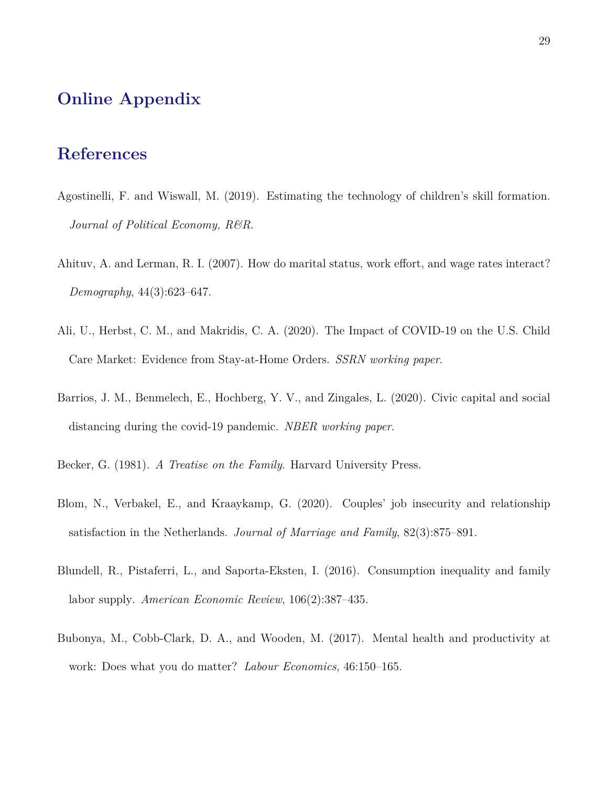# **Online Appendix**

## **References**

- <span id="page-29-7"></span>Agostinelli, F. and Wiswall, M. (2019). Estimating the technology of children's skill formation. *Journal of Political Economy, R&R*.
- <span id="page-29-1"></span>Ahituv, A. and Lerman, R. I. (2007). How do marital status, work effort, and wage rates interact? *Demography*, 44(3):623–647.
- <span id="page-29-3"></span>Ali, U., Herbst, C. M., and Makridis, C. A. (2020). The Impact of COVID-19 on the U.S. Child Care Market: Evidence from Stay-at-Home Orders. *SSRN working paper*.
- <span id="page-29-4"></span>Barrios, J. M., Benmelech, E., Hochberg, Y. V., and Zingales, L. (2020). Civic capital and social distancing during the covid-19 pandemic. *NBER working paper*.
- <span id="page-29-5"></span><span id="page-29-2"></span>Becker, G. (1981). *A Treatise on the Family*. Harvard University Press.
- Blom, N., Verbakel, E., and Kraaykamp, G. (2020). Couples' job insecurity and relationship satisfaction in the Netherlands. *Journal of Marriage and Family*, 82(3):875–891.
- <span id="page-29-6"></span>Blundell, R., Pistaferri, L., and Saporta-Eksten, I. (2016). Consumption inequality and family labor supply. *American Economic Review*, 106(2):387–435.
- <span id="page-29-0"></span>Bubonya, M., Cobb-Clark, D. A., and Wooden, M. (2017). Mental health and productivity at work: Does what you do matter? *Labour Economics*, 46:150–165.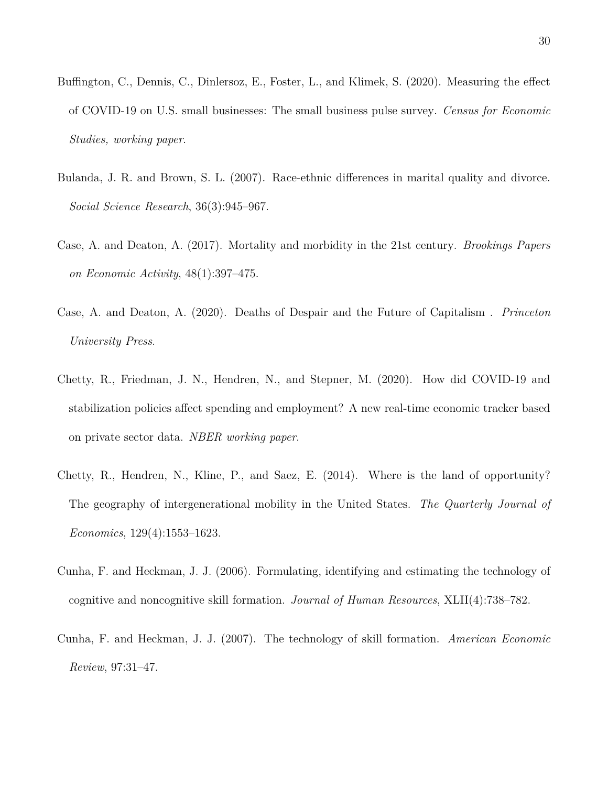- <span id="page-30-3"></span>Buffington, C., Dennis, C., Dinlersoz, E., Foster, L., and Klimek, S. (2020). Measuring the effect of COVID-19 on U.S. small businesses: The small business pulse survey. *Census for Economic Studies, working paper*.
- <span id="page-30-7"></span>Bulanda, J. R. and Brown, S. L. (2007). Race-ethnic differences in marital quality and divorce. *Social Science Research*, 36(3):945–967.
- <span id="page-30-5"></span>Case, A. and Deaton, A. (2017). Mortality and morbidity in the 21st century. *Brookings Papers on Economic Activity*, 48(1):397–475.
- <span id="page-30-6"></span>Case, A. and Deaton, A. (2020). Deaths of Despair and the Future of Capitalism . *Princeton University Press*.
- <span id="page-30-4"></span>Chetty, R., Friedman, J. N., Hendren, N., and Stepner, M. (2020). How did COVID-19 and stabilization policies affect spending and employment? A new real-time economic tracker based on private sector data. *NBER working paper*.
- <span id="page-30-0"></span>Chetty, R., Hendren, N., Kline, P., and Saez, E. (2014). Where is the land of opportunity? The geography of intergenerational mobility in the United States. *The Quarterly Journal of Economics*, 129(4):1553–1623.
- <span id="page-30-1"></span>Cunha, F. and Heckman, J. J. (2006). Formulating, identifying and estimating the technology of cognitive and noncognitive skill formation. *Journal of Human Resources*, XLII(4):738–782.
- <span id="page-30-2"></span>Cunha, F. and Heckman, J. J. (2007). The technology of skill formation. *American Economic Review*, 97:31–47.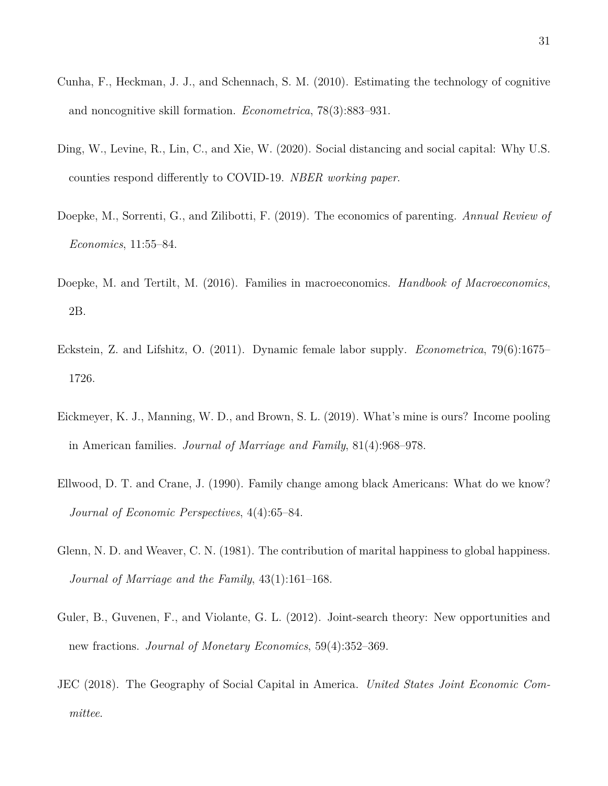- <span id="page-31-5"></span>Cunha, F., Heckman, J. J., and Schennach, S. M. (2010). Estimating the technology of cognitive and noncognitive skill formation. *Econometrica*, 78(3):883–931.
- <span id="page-31-3"></span>Ding, W., Levine, R., Lin, C., and Xie, W. (2020). Social distancing and social capital: Why U.S. counties respond differently to COVID-19. *NBER working paper*.
- <span id="page-31-6"></span>Doepke, M., Sorrenti, G., and Zilibotti, F. (2019). The economics of parenting. *Annual Review of Economics*, 11:55–84.
- <span id="page-31-8"></span>Doepke, M. and Tertilt, M. (2016). Families in macroeconomics. *Handbook of Macroeconomics*, 2B.
- <span id="page-31-7"></span>Eckstein, Z. and Lifshitz, O. (2011). Dynamic female labor supply. *Econometrica*, 79(6):1675– 1726.
- <span id="page-31-1"></span>Eickmeyer, K. J., Manning, W. D., and Brown, S. L. (2019). What's mine is ours? Income pooling in American families. *Journal of Marriage and Family*, 81(4):968–978.
- <span id="page-31-9"></span>Ellwood, D. T. and Crane, J. (1990). Family change among black Americans: What do we know? *Journal of Economic Perspectives*, 4(4):65–84.
- <span id="page-31-0"></span>Glenn, N. D. and Weaver, C. N. (1981). The contribution of marital happiness to global happiness. *Journal of Marriage and the Family*, 43(1):161–168.
- <span id="page-31-4"></span>Guler, B., Guvenen, F., and Violante, G. L. (2012). Joint-search theory: New opportunities and new fractions. *Journal of Monetary Economics*, 59(4):352–369.
- <span id="page-31-2"></span>JEC (2018). The Geography of Social Capital in America. *United States Joint Economic Committee*.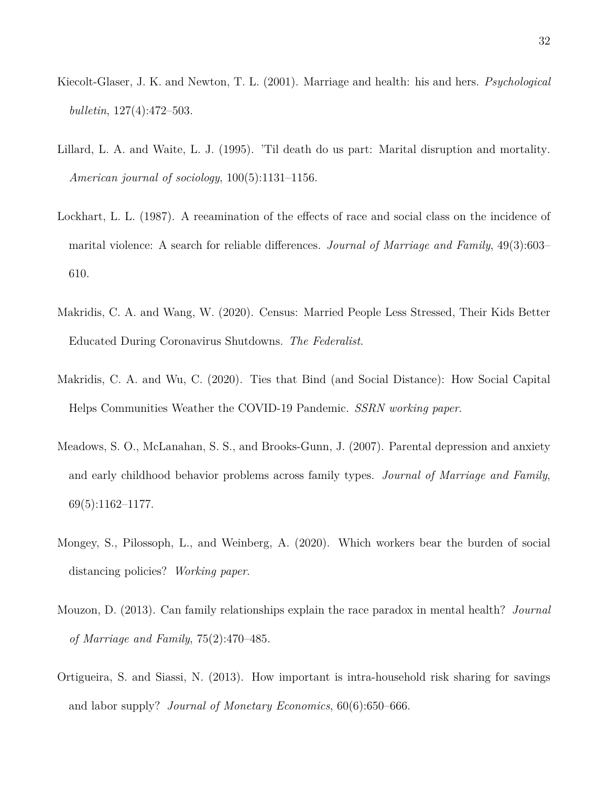- <span id="page-32-2"></span>Kiecolt-Glaser, J. K. and Newton, T. L. (2001). Marriage and health: his and hers. *Psychological bulletin*, 127(4):472–503.
- <span id="page-32-1"></span>Lillard, L. A. and Waite, L. J. (1995). 'Til death do us part: Marital disruption and mortality. *American journal of sociology*, 100(5):1131–1156.
- <span id="page-32-7"></span>Lockhart, L. L. (1987). A reeamination of the effects of race and social class on the incidence of marital violence: A search for reliable differences. *Journal of Marriage and Family*, 49(3):603– 610.
- <span id="page-32-0"></span>Makridis, C. A. and Wang, W. (2020). Census: Married People Less Stressed, Their Kids Better Educated During Coronavirus Shutdowns. *The Federalist*.
- <span id="page-32-4"></span>Makridis, C. A. and Wu, C. (2020). Ties that Bind (and Social Distance): How Social Capital Helps Communities Weather the COVID-19 Pandemic. *SSRN working paper*.
- <span id="page-32-3"></span>Meadows, S. O., McLanahan, S. S., and Brooks-Gunn, J. (2007). Parental depression and anxiety and early childhood behavior problems across family types. *Journal of Marriage and Family*, 69(5):1162–1177.
- <span id="page-32-6"></span>Mongey, S., Pilossoph, L., and Weinberg, A. (2020). Which workers bear the burden of social distancing policies? *Working paper*.
- <span id="page-32-8"></span>Mouzon, D. (2013). Can family relationships explain the race paradox in mental health? *Journal of Marriage and Family*, 75(2):470–485.
- <span id="page-32-5"></span>Ortigueira, S. and Siassi, N. (2013). How important is intra-household risk sharing for savings and labor supply? *Journal of Monetary Economics*, 60(6):650–666.